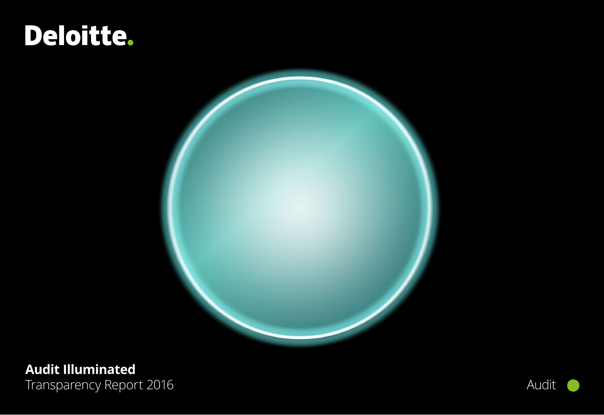# Deloitte.



## **Audit Illuminated** Transparency Report 2016 **Audit** Audit

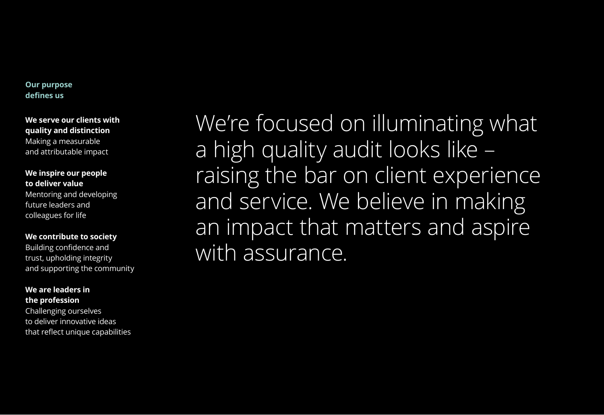### **Our purpose defines us**

**We serve our clients with quality and distinction** Making a measurable and attributable impact

### **We inspire our people to deliver value** Mentoring and developing future leaders and colleagues for life

**We contribute to society** Building confidence and trust, upholding integrity and supporting the community

### **We are leaders in the profession**

Challenging ourselves to deliver innovative ideas that reflect unique capabilities

We're focused on illuminating what a high quality audit looks like – raising the bar on client experience and service. We believe in making an impact that matters and aspire with assurance.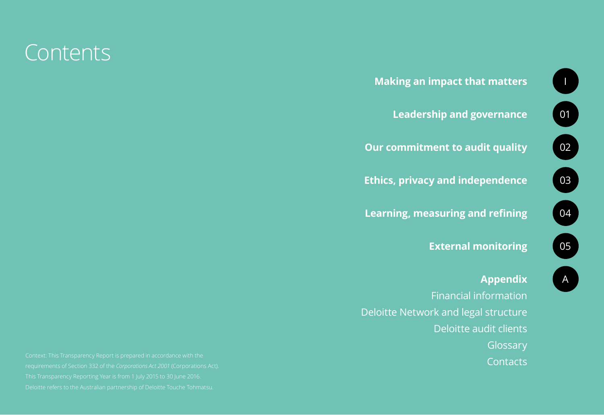



### **[Appendix](#page-46-0)**

[Financial information](#page-47-0) [Deloitte Network and legal structure](#page-48-0) [Deloitte audit clients](#page-50-0) **[Glossary](#page-54-0) [Contacts](#page-55-0)**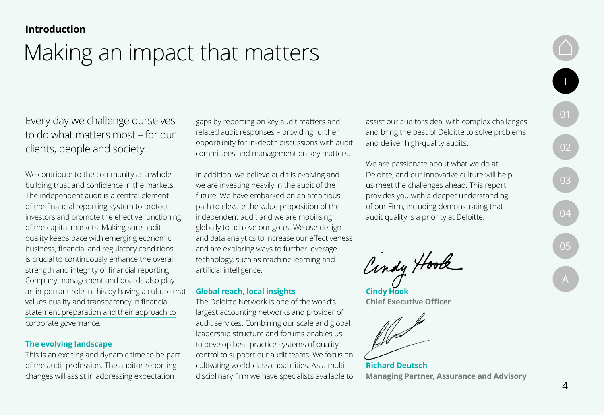## <span id="page-3-0"></span>Making an impact that matters

Every day we challenge ourselves to do what matters most – for our clients, people and society.

We contribute to the community as a whole, building trust and confidence in the markets. The independent audit is a central element of the financial reporting system to protect investors and promote the effective functioning of the capital markets. Making sure audit quality keeps pace with emerging economic, business, financial and regulatory conditions is crucial to continuously enhance the overall strength and integrity of financial reporting. [Company management and boards also play](#page-20-0) [an important role in this by having a culture that](#page-20-0)  [values quality and transparency in financial](#page-20-0) [statement preparation and their approach to](#page-20-0) [corporate governance.](#page-20-0)

### **The evolving landscape**

This is an exciting and dynamic time to be part of the audit profession. The auditor reporting changes will assist in addressing expectation

gaps by reporting on key audit matters and related audit responses – providing further opportunity for in-depth discussions with audit committees and management on key matters.

In addition, we believe audit is evolving and we are investing heavily in the audit of the future. We have embarked on an ambitious path to elevate the value proposition of the independent audit and we are mobilising globally to achieve our goals. We use design and data analytics to increase our effectiveness and are exploring ways to further leverage technology, such as machine learning and artificial intelligence.

### **Global reach, local insights**

The Deloitte Network is one of the world's largest accounting networks and provider of audit services. Combining our scale and global leadership structure and forums enables us to develop best-practice systems of quality control to support our audit teams. We focus on cultivating world-class capabilities. As a multidisciplinary firm we have specialists available to

assist our auditors deal with complex challenges and bring the best of Deloitte to solve problems and deliver high-quality audits.

We are passionate about what we do at Deloitte, and our innovative culture will help us meet the challenges ahead. This report provides you with a deeper understanding of our Firm, including demonstrating that audit quality is a priority at Deloitte.

Cindy Hook

**Cindy Hook Chief Executive Officer**

**Richard Deutsch Managing Partner, Assurance and Advisory**

I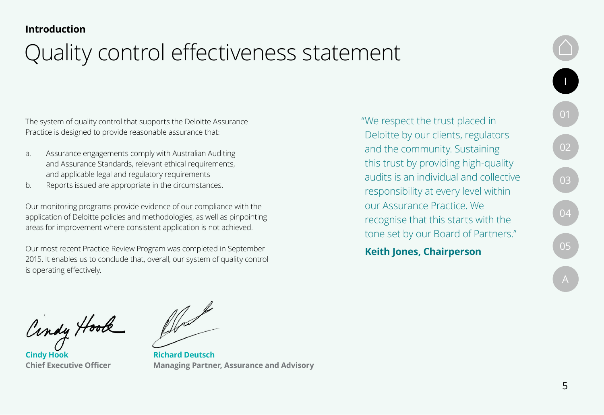# Quality control effectiveness statement

The system of quality control that supports the Deloitte Assurance Practice is designed to provide reasonable assurance that:

- a. Assurance engagements comply with Australian Auditing and Assurance Standards, relevant ethical requirements, and applicable legal and regulatory requirements
- b. Reports issued are appropriate in the circumstances.

Our monitoring programs provide evidence of our compliance with the application of Deloitte policies and methodologies, as well as pinpointing areas for improvement where consistent application is not achieved.

Our most recent Practice Review Program was completed in September 2015. It enables us to conclude that, overall, our system of quality control is operating effectively.

"We respect the trust placed in Deloitte by our clients, regulators and the community. Sustaining this trust by providing high-quality audits is an individual and collective responsibility at every level within our Assurance Practice. We recognise that this starts with the tone set by our Board of Partners."

**Keith Jones, Chairperson**

[I](#page-3-0)

[01](#page-5-0)

 $\begin{bmatrix} 02 \end{bmatrix}$  $\begin{bmatrix} 02 \end{bmatrix}$  $\begin{bmatrix} 02 \end{bmatrix}$ 

Cindy Hook

**Cindy Hook Chief Executive Officer**

**Richard Deutsch Managing Partner, Assurance and Advisory**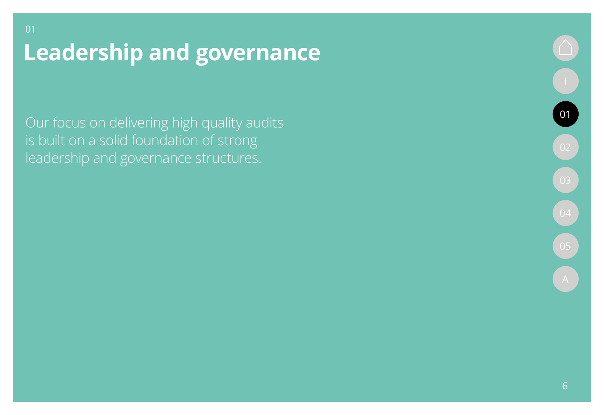<span id="page-5-0"></span>01

Our focus on delivering high quality audits is built on a solid foundation of strong leadership and governance structures.

01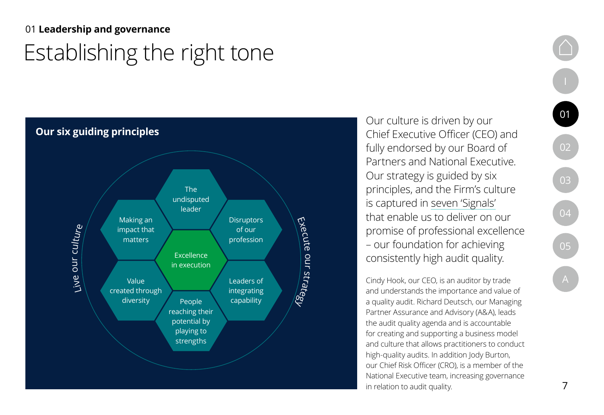## <span id="page-6-0"></span>Establishing the right tone 01 **Leadership and governance**



Our culture is driven by our Chief Executive Officer (CEO) and fully endorsed by our Board of Partners and National Executive. Our strategy is guided by six principles, and the Firm's culture is captured in [seven 'Signals'](#page-7-0) that enable us to deliver on our promise of professional excellence – our foundation for achieving consistently high audit quality.

Cindy Hook, our CEO, is an auditor by trade and understands the importance and value of a quality audit. Richard Deutsch, our Managing Partner Assurance and Advisory (A&A), leads the audit quality agenda and is accountable for creating and supporting a business model and culture that allows practitioners to conduct high-quality audits. In addition Jody Burton, our Chief Risk Officer (CRO), is a member of the National Executive team, increasing governance in relation to audit quality.

01

02

03

04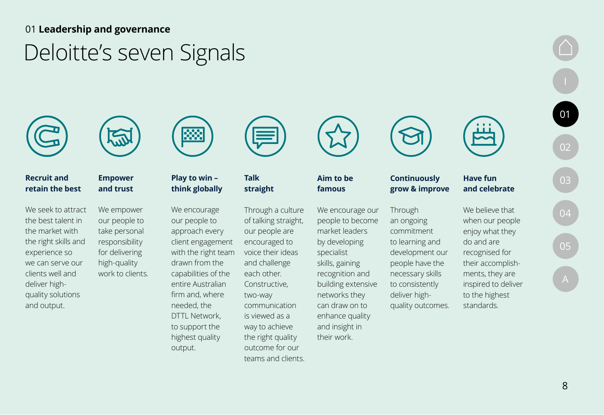# <span id="page-7-0"></span>Deloitte's seven Signals



### **Recruit and retain the best**

We seek to attract the best talent in the market with the right skills and experience so we can serve our clients well and deliver highquality solutions and output.



### **Empower and trust**

high-quality

We empower our people to take personal responsibility for delivering work to clients. We encourage our people to approach every client engagement with the right team drawn from the capabilities of the entire Australian firm and, where needed, the DTTL Network, to support the highest quality output.

**Play to win – think globally**

**333** 



### **Talk straight**

Through a culture of talking straight, our people are encouraged to voice their ideas and challenge each other. Constructive, two-way communication is viewed as a way to achieve the right quality outcome for our teams and clients.



**Aim to be famous** 

We encourage our people to become market leaders by developing specialist skills, gaining recognition and building extensive networks they can draw on to enhance quality and insight in their work.



#### **Continuously grow & improve Have fun**

Through

an ongoing commitment to learning and development our people have the necessary skills to consistently deliver highquality outcomes.



[01](#page-5-0)

[02](#page-13-0)

[03](#page-32-0)

[04](#page-39-0)

[05](#page-43-0)

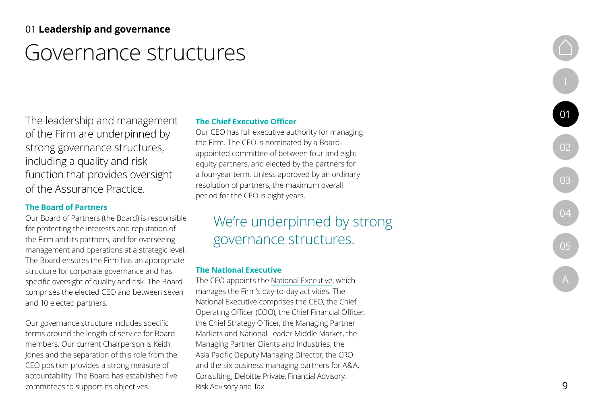## Governance structures

The leadership and management of the Firm are underpinned by strong governance structures, including a quality and risk function that provides oversight of the Assurance Practice .

### **The Board of Partners**

Our Board of Partners (the Board) is responsible for protecting the interests and reputation of the Firm and its partners, and for overseeing management and operations at a strategic level. The Board ensures the Firm has an appropriate structure for corporate governance and has specific oversight of quality and risk. The Board comprises the elected CEO and between seven and 10 elected partners.

Our governance structure includes specific terms around the length of service for Board members. Our current Chairperson is Keith Jones and the separation of this role from the CEO position provides a strong measure of accountability. The Board has established five committees to support its objectives.

#### **The Chief Executive Officer**

Our CEO has full executive authority for managing the Firm. The CEO is nominated by a Boardappointed committee of between four and eight equity partners, and elected by the partners for a four-year term. Unless approved by an ordinary resolution of partners, the maximum overall period for the CEO is eight years.

## We're underpinned by strong governance structures.

#### **The National Executive**

The CEO appoints the [National Executive](#page-9-0), which manages the Firm's day-to-day activities. The National Executive comprises the CEO, the Chief Operating Officer (COO), the Chief Financial Officer, the Chief Strategy Officer, the Managing Partner Markets and National Leader Middle Market, the Managing Partner Clients and Industries, the Asia Pacific Deputy Managing Director, the CRO and the six business managing partners for A&A, Consulting, Deloitte Private, Financial Advisory, Risk Advisory and Tax.

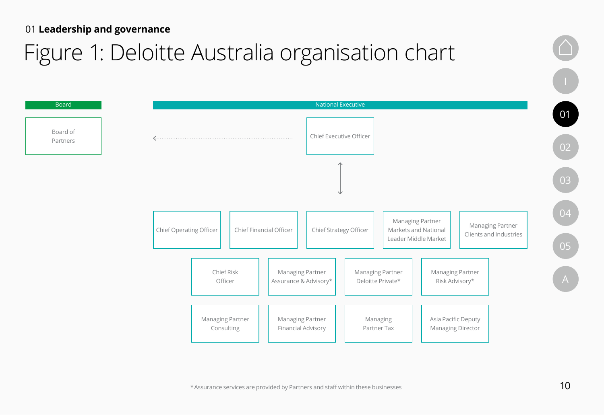# <span id="page-9-0"></span>Figure 1: Deloitte Australia organisation chart

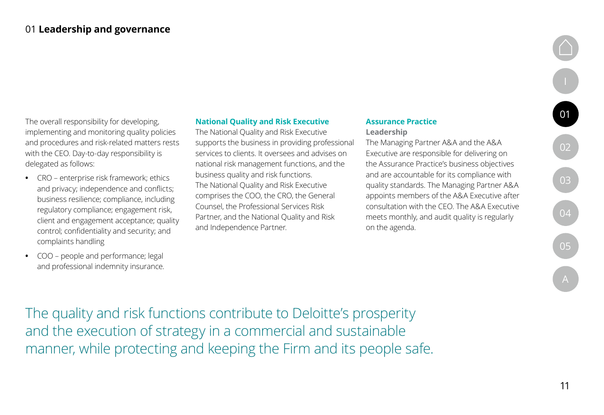The overall responsibility for developing, implementing and monitoring quality policies and procedures and risk-related matters rests with the CEO. Day-to-day responsibility is delegated as follows:

- **•** CRO enterprise risk framework; ethics and privacy; independence and conflicts; business resilience; compliance, including regulatory compliance; engagement risk, client and engagement acceptance; quality control; confidentiality and security; and complaints handling
- **•** COO people and performance; legal and professional indemnity insurance.

### **National Quality and Risk Executive**

The National Quality and Risk Executive supports the business in providing professional services to clients. It oversees and advises on national risk management functions, and the business quality and risk functions. The National Quality and Risk Executive comprises the COO, the CRO, the General Counsel, the Professional Services Risk Partner, and the National Quality and Risk and Independence Partner.

### **Assurance Practice**

**Leadership**

The Managing Partner A&A and the A&A Executive are responsible for delivering on the Assurance Practice's business objectives and are accountable for its compliance with quality standards. The Managing Partner A&A appoints members of the A&A Executive after consultation with the CEO. The A&A Executive meets monthly, and audit quality is regularly on the agenda.

[02](#page-13-0) [03](#page-32-0)

[01](#page-5-0)

[04](#page-39-0) [05](#page-43-0) [A](#page-46-0)

The quality and risk functions contribute to Deloitte's prosperity and the execution of strategy in a commercial and sustainable manner, while protecting and keeping the Firm and its people safe.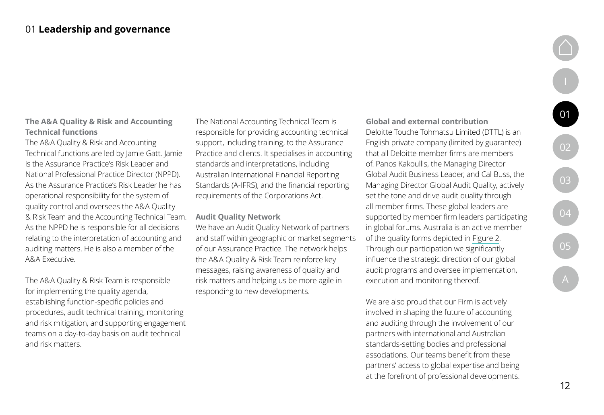### **The A&A Quality & Risk and Accounting Technical functions**

The A&A Quality & Risk and Accounting Technical functions are led by Jamie Gatt. Jamie is the Assurance Practice's Risk Leader and National Professional Practice Director (NPPD). As the Assurance Practice's Risk Leader he has operational responsibility for the system of quality control and oversees the A&A Quality & Risk Team and the Accounting Technical Team. As the NPPD he is responsible for all decisions relating to the interpretation of accounting and auditing matters. He is also a member of the A&A Executive.

The A&A Quality & Risk Team is responsible for implementing the quality agenda, establishing function-specific policies and procedures, audit technical training, monitoring and risk mitigation, and supporting engagement teams on a day-to-day basis on audit technical and risk matters.

The National Accounting Technical Team is responsible for providing accounting technical support, including training, to the Assurance Practice and clients. It specialises in accounting standards and interpretations, including Australian International Financial Reporting Standards (A-IFRS), and the financial reporting requirements of the Corporations Act.

#### **Audit Quality Network**

We have an Audit Quality Network of partners and staff within geographic or market segments of our Assurance Practice. The network helps the A&A Quality & Risk Team reinforce key messages, raising awareness of quality and risk matters and helping us be more agile in responding to new developments.

**Global and external contribution** Deloitte Touche Tohmatsu Limited (DTTL) is an English private company (limited by guarantee) that all Deloitte member firms are members of. Panos Kakoullis, the Managing Director Global Audit Business Leader, and Cal Buss, the Managing Director Global Audit Quality, actively set the tone and drive audit quality through all member firms. These global leaders are supported by member firm leaders participating in global forums. Australia is an active member of the quality forms depicted in [Figure 2](#page-12-0). Through our participation we significantly influence the strategic direction of our global audit programs and oversee implementation, execution and monitoring thereof.

We are also proud that our Firm is actively involved in shaping the future of accounting and auditing through the involvement of our partners with international and Australian standards-setting bodies and professional associations. Our teams benefit from these partners' access to global expertise and being at the forefront of professional developments.

[01](#page-5-0)

[02](#page-13-0)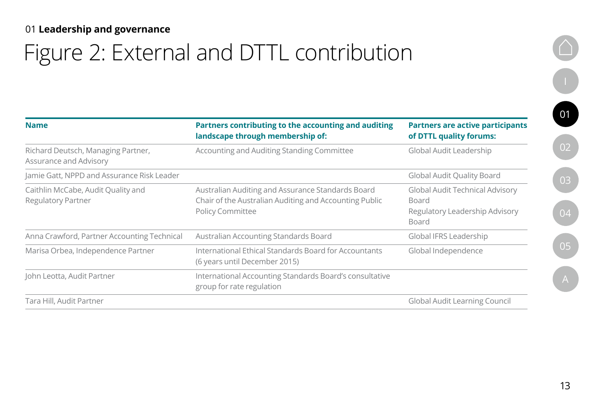# <span id="page-12-0"></span>Figure 2: External and DTTL contribution

| <b>Name</b>                                                         | Partners contributing to the accounting and auditing<br>landscape through membership of:                                               | <b>Partners are active participants</b><br>of DTTL quality forums:                                              |
|---------------------------------------------------------------------|----------------------------------------------------------------------------------------------------------------------------------------|-----------------------------------------------------------------------------------------------------------------|
| Richard Deutsch, Managing Partner,<br><b>Assurance and Advisory</b> | Accounting and Auditing Standing Committee                                                                                             | Global Audit Leadership                                                                                         |
| Jamie Gatt, NPPD and Assurance Risk Leader                          |                                                                                                                                        | <b>Global Audit Quality Board</b>                                                                               |
| Caithlin McCabe, Audit Quality and<br><b>Regulatory Partner</b>     | Australian Auditing and Assurance Standards Board<br>Chair of the Australian Auditing and Accounting Public<br><b>Policy Committee</b> | <b>Global Audit Technical Advisory</b><br><b>Board</b><br><b>Regulatory Leadership Advisory</b><br><b>Board</b> |
| Anna Crawford, Partner Accounting Technical                         | Australian Accounting Standards Board                                                                                                  | Global IFRS Leadership                                                                                          |
| Marisa Orbea, Independence Partner                                  | International Ethical Standards Board for Accountants<br>(6 years until December 2015)                                                 | Global Independence                                                                                             |
| John Leotta, Audit Partner                                          | International Accounting Standards Board's consultative<br>group for rate regulation                                                   |                                                                                                                 |
| Tara Hill, Audit Partner                                            |                                                                                                                                        | <b>Global Audit Learning Council</b>                                                                            |

[I](#page-3-0)

[01](#page-5-0)

[02](#page-13-0)

[03](#page-32-0)

[04](#page-39-0)

[05](#page-43-0)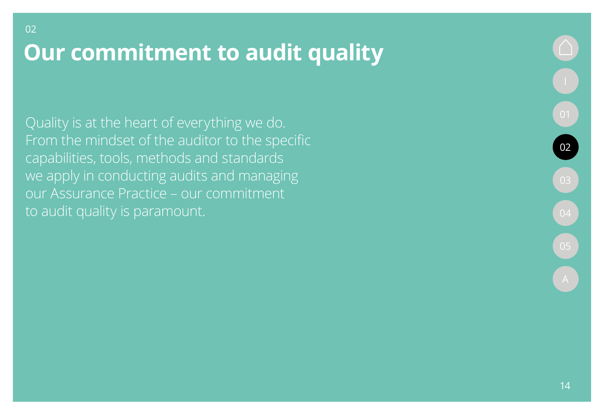Quality is at the heart of everything we do. From the mindset of the auditor to the specific capabilities, tools, methods and standards we apply in conducting audits and managing our Assurance Practice – our commitment to audit quality is paramount.

<span id="page-13-0"></span>02

02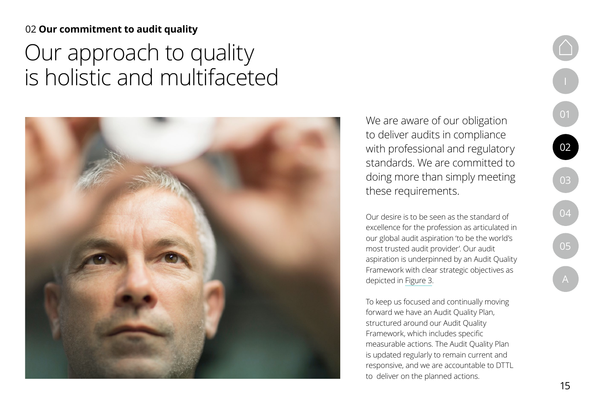# Our approach to quality is holistic and multifaceted



We are aware of our obligation to deliver audits in compliance with professional and regulatory standards. We are committed to doing more than simply meeting these requirements.

Our desire is to be seen as the standard of excellence for the profession as articulated in our global audit aspiration 'to be the world's most trusted audit provider'. Our audit aspiration is underpinned by an Audit Quality Framework with clear strategic objectives as depicted in [Figure 3](#page-15-0).

To keep us focused and continually moving forward we have an Audit Quality Plan, structured around our Audit Quality Framework, which includes specific measurable actions. The Audit Quality Plan is updated regularly to remain current and responsive, and we are accountable to DTTL to deliver on the planned actions.

15

[I](#page-3-0)

[01](#page-5-0)

[02](#page-13-0)

[03](#page-32-0)

[04](#page-39-0)

[05](#page-43-0)

 $\overline{A}$  $\overline{A}$  $\overline{A}$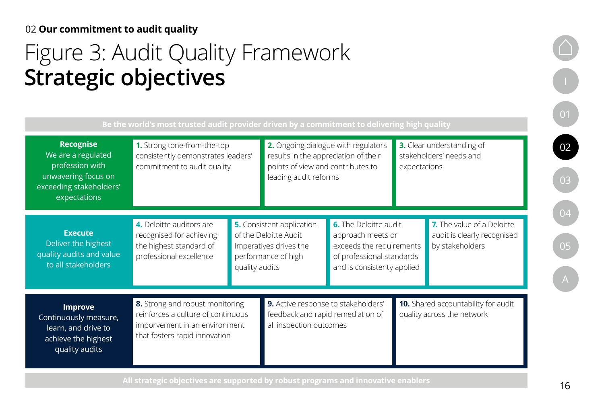# <span id="page-15-0"></span>Figure 3: Audit Quality Framework **Strategic objectives**

| <b>Recognise</b><br>We are a regulated<br>profession with<br>unwavering focus on<br>exceeding stakeholders'<br>expectations | 1. Strong tone-from-the-top<br>consistently demonstrates leaders'<br>commitment to audit quality                                        |                                                                                                                              | Be the world's most trusted audit provider driven by a commitment to delivering high quality<br>2. Ongoing dialogue with regulators<br>results in the appreciation of their<br>points of view and contributes to<br>leading audit reforms |                                                                                                                                          | <b>3.</b> Clear understanding of<br>stakeholders' needs and<br>expectations |                                                                              |
|-----------------------------------------------------------------------------------------------------------------------------|-----------------------------------------------------------------------------------------------------------------------------------------|------------------------------------------------------------------------------------------------------------------------------|-------------------------------------------------------------------------------------------------------------------------------------------------------------------------------------------------------------------------------------------|------------------------------------------------------------------------------------------------------------------------------------------|-----------------------------------------------------------------------------|------------------------------------------------------------------------------|
| <b>Execute</b><br>Deliver the highest<br>quality audits and value<br>to all stakeholders                                    | 4. Deloitte auditors are<br>recognised for achieving<br>the highest standard of<br>professional excellence                              | <b>5.</b> Consistent application<br>of the Deloitte Audit<br>Imperatives drives the<br>performance of high<br>quality audits |                                                                                                                                                                                                                                           | <b>6.</b> The Deloitte audit<br>approach meets or<br>exceeds the requirements<br>of professional standards<br>and is consistenty applied |                                                                             | 7. The value of a Deloitte<br>audit is clearly recognised<br>by stakeholders |
| <b>Improve</b><br>Continuously measure,<br>learn, and drive to<br>achieve the highest<br>quality audits                     | 8. Strong and robust monitoring<br>reinforces a culture of continuous<br>imporvement in an environment<br>that fosters rapid innovation |                                                                                                                              | 9. Active response to stakeholders'<br>feedback and rapid remediation of<br>all inspection outcomes                                                                                                                                       |                                                                                                                                          |                                                                             | <b>10.</b> Shared accountability for audit<br>quality across the network     |

[I](#page-3-0)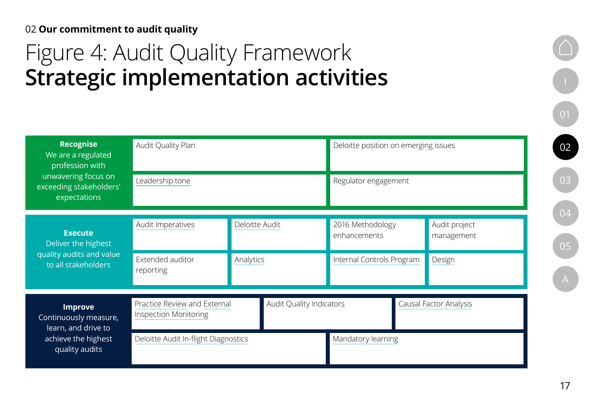# Figure 4: Audit Quality Framework **Strategic implementation activities**

| <b>Recognise</b><br>We are a regulated<br>profession with      | Audit Quality Plan                                           |                |                                 | Deloitte position on emerging issues |                             |
|----------------------------------------------------------------|--------------------------------------------------------------|----------------|---------------------------------|--------------------------------------|-----------------------------|
| unwavering focus on<br>exceeding stakeholders'<br>expectations | Leadership tone                                              |                |                                 | Regulator engagement                 |                             |
| <b>Execute</b><br>Deliver the highest                          | Audit Imperatives                                            | Deloitte Audit |                                 | 2016 Methodology<br>enhancements     | Audit project<br>management |
| quality audits and value<br>to all stakeholders                | Extended auditor<br>reporting                                | Analytics      |                                 | Internal Controls Program            | Design                      |
| <b>Improve</b><br>Continuously measure,<br>learn, and drive to | Practice Review and External<br><b>Inspection Monitoring</b> |                | <b>Audit Quality Indicators</b> |                                      | Causal Factor Analysis      |
| achieve the highest<br>quality audits                          | Deloitte Audit In-flight Diagnostics                         |                |                                 | Mandatory learning                   |                             |

[01](#page-5-0) [02](#page-13-0) [03](#page-32-0)

[05](#page-43-0) [A](#page-46-0)

[04](#page-39-0)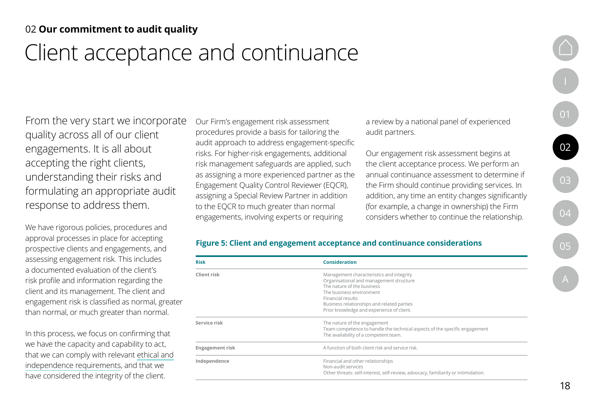# Client acceptance and continuance

From the very start we incorporate quality across all of our client engagements. It is all about accepting the right clients, understanding their risks and formulating an appropriate audit response to address them.

We have rigorous policies, procedures and approval processes in place for accepting prospective clients and engagements, and assessing engagement risk. This includes a documented evaluation of the client's risk profile and information regarding the client and its management. The client and engagement risk is classified as normal, greater than normal, or much greater than normal.

In this process, we focus on confirming that we have the capacity and capability to act, that we can comply with relevant [ethical and](#page-32-0) [independence requirements,](#page-32-0) and that we have considered the integrity of the client.

Our Firm's engagement risk assessment procedures provide a basis for tailoring the audit approach to address engagement-specific risks. For higher-risk engagements, additional risk management safeguards are applied, such as assigning a more experienced partner as the Engagement Quality Control Reviewer (EQCR), assigning a Special Review Partner in addition to the EQCR to much greater than normal engagements, involving experts or requiring

a review by a national panel of experienced audit partners.

Our engagement risk assessment begins at the client acceptance process. We perform an annual continuance assessment to determine if the Firm should continue providing services. In addition, any time an entity changes significantly (for example, a change in ownership) the Firm considers whether to continue the relationship.

### **Figure 5: Client and engagement acceptance and continuance considerations**

| <b>Risk</b>            | <b>Consideration</b>                                                                                                                                                                                                                                          |
|------------------------|---------------------------------------------------------------------------------------------------------------------------------------------------------------------------------------------------------------------------------------------------------------|
| <b>Client risk</b>     | Management characteristics and integrity<br>Organisational and management structure<br>The nature of the business<br>The business environment<br>Financial results<br>Business relationships and related parties<br>Prior knowledge and experience of client. |
| Service risk           | The nature of the engagement<br>Team competence to handle the technical aspects of the specific engagement<br>The availability of a competent team.                                                                                                           |
| <b>Engagement risk</b> | A function of both client risk and service risk.                                                                                                                                                                                                              |
| Independence           | Financial and other relationships<br>Non-audit services<br>Other threats: self-interest, self-review, advocacy, familiarity or intimidation.                                                                                                                  |

[I](#page-3-0)

[01](#page-5-0)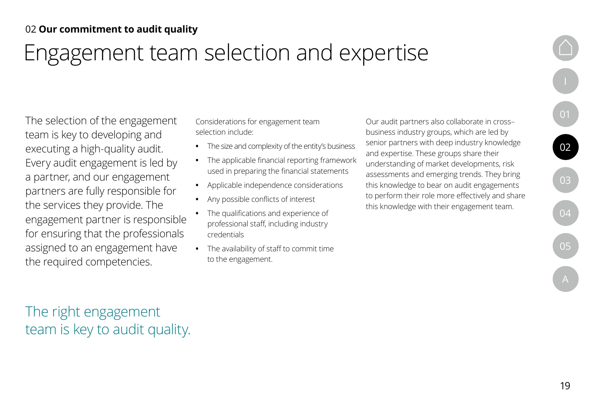# Engagement team selection and expertise

The selection of the engagement team is key to developing and executing a high-quality audit. Every audit engagement is led by a partner, and our engagement partners are fully responsible for the services they provide. The engagement partner is responsible for ensuring that the professionals assigned to an engagement have the required competencies.

Considerations for engagement team selection include:

- **•** The size and complexity of the entity's business
- **•** The applicable financial reporting framework used in preparing the financial statements
- **•** Applicable independence considerations
- **•** Any possible conflicts of interest
- **•** The qualifications and experience of professional staff, including industry credentials
- **•** The availability of staff to commit time to the engagement.

Our audit partners also collaborate in cross– business industry groups, which are led by senior partners with deep industry knowledge and expertise. These groups share their understanding of market developments, risk assessments and emerging trends. They bring this knowledge to bear on audit engagements to perform their role more effectively and share this knowledge with their engagement team.

The right engagement team is key to audit quality. [I](#page-3-0)

[01](#page-5-0)

[02](#page-13-0)

[03](#page-32-0)

[04](#page-39-0)

[05](#page-43-0)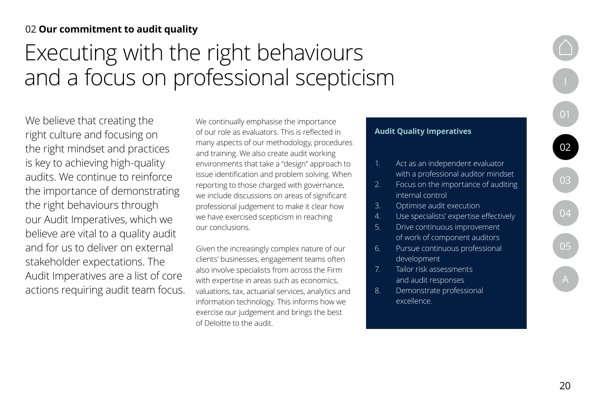# <span id="page-19-0"></span>Executing with the right behaviours and a focus on professional scepticism

We believe that creating the right culture and focusing on the right mindset and practices is key to achieving high-quality audits. We continue to reinforce the importance of demonstrating the right behaviours through our Audit Imperatives, which we believe are vital to a quality audit and for us to deliver on external stakeholder expectations. The Audit Imperatives are a list of core actions requiring audit team focus.

We continually emphasise the importance of our role as evaluators. This is reflected in many aspects of our methodology, procedures and training. We also create audit working environments that take a "design" approach to issue identification and problem solving. When reporting to those charged with governance, we include discussions on areas of significant professional judgement to make it clear how we have exercised scepticism in reaching our conclusions.

Given the increasingly complex nature of our clients' businesses, engagement teams often also involve specialists from across the Firm with expertise in areas such as economics, valuations, tax, actuarial services, analytics and information technology. This informs how we exercise our judgement and brings the best of Deloitte to the audit.

### **Audit Quality Imperatives**

- 1. Act as an independent evaluator with a professional auditor mindset
- 2. Focus on the importance of auditing internal control
- 3. Optimise audit execution
- 4. Use specialists' expertise effectively
- 5. Drive continuous improvement of work of component auditors
- 6. Pursue continuous professional development
- 7. Tailor risk assessments and audit responses
- 8. Demonstrate professional excellence.

20

[01](#page-5-0)

 $\boxed{02}$  $\boxed{02}$  $\boxed{02}$ 

[03](#page-32-0)

[04](#page-39-0)

[05](#page-43-0)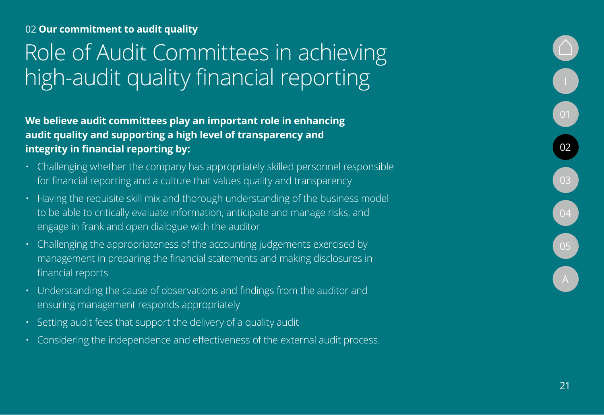# <span id="page-20-0"></span>Role of Audit Committees in achieving high-audit quality financial reporting and a set of the set of the set of the set of the set of the set of the

**We believe audit committees play an important role in enhancing audit quality and supporting a high level of transparency and integrity in financial reporting by:**

- Challenging whether the company has appropriately skilled personnel responsible for financial reporting and a culture that values quality and transparency
- Having the requisite skill mix and thorough understanding of the business model to be able to critically evaluate information, anticipate and manage risks, and engage in frank and open dialogue with the auditor
- Challenging the appropriateness of the accounting judgements exercised by management in preparing the financial statements and making disclosures in financial reports
- Understanding the cause of observations and findings from the auditor and ensuring management responds appropriately
- Setting audit fees that support the delivery of a quality audit
- Considering the independence and effectiveness of the external audit process.

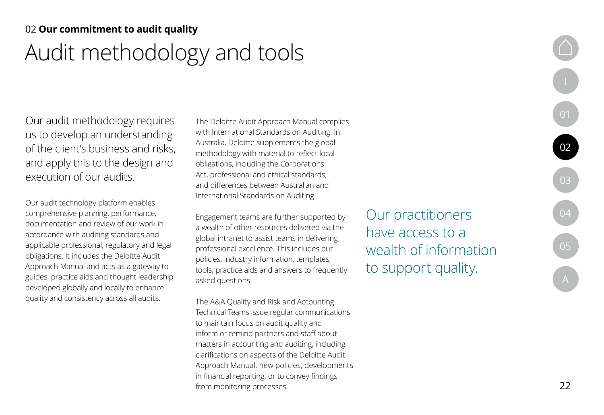## <span id="page-21-0"></span>Audit methodology and tools 02 **Our commitment to audit quality**

Our audit methodology requires us to develop an understanding of the client's business and risks, and apply this to the design and execution of our audits.

Our audit technology platform enables comprehensive planning, performance, documentation and review of our work in accordance with auditing standards and applicable professional, regulatory and legal obligations. It includes the Deloitte Audit Approach Manual and acts as a gateway to guides, practice aids and thought leadership developed globally and locally to enhance quality and consistency across all audits.

The Deloitte Audit Approach Manual complies with International Standards on Auditing. In Australia, Deloitte supplements the global methodology with material to reflect local obligations, including the Corporations Act, professional and ethical standards, and differences between Australian and International Standards on Auditing.

Engagement teams are further supported by a wealth of other resources delivered via the global intranet to assist teams in delivering professional excellence. This includes our policies, industry information, templates, tools, practice aids and answers to frequently asked questions.

The A&A Quality and Risk and Accounting Technical Teams issue regular communications to maintain focus on audit quality and inform or remind partners and staff about matters in accounting and auditing, including clarifications on aspects of the Deloitte Audit Approach Manual, new policies, developments in financial reporting, or to convey findings from monitoring processes.

Our practitioners have access to a wealth of information to support quality.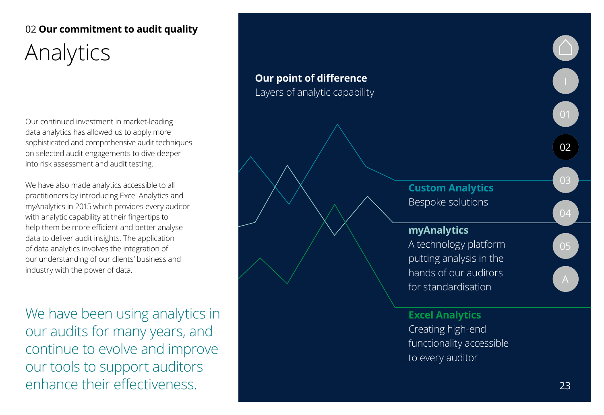## <span id="page-22-0"></span>02 **Our commitment to audit quality** Analytics

Our continued investment in market-leading data analytics has allowed us to apply more sophisticated and comprehensive audit techniques on selected audit engagements to dive deeper into risk assessment and audit testing.

We have also made analytics accessible to all practitioners by introducing Excel Analytics and myAnalytics in 2015 which provides every auditor with analytic capability at their fingertips to help them be more efficient and better analyse data to deliver audit insights. The application of data analytics involves the integration of our understanding of our clients' business and industry with the power of data.

We have been using analytics in our audits for many years, and continue to evolve and improve our tools to support auditors enhance their effectiveness.

## **Our point of difference** Layers of analytic capability **Custom Analytics** Bespoke solutions **myAnalytics** A technology platform putting analysis in the hands of our auditors for standardisation **Excel Analytics** Creating high-end functionality accessible to every auditor O. [01](#page-5-0) [02](#page-13-0) [03](#page-32-0) [04](#page-39-0) [05](#page-43-0)<br>[A](#page-46-0)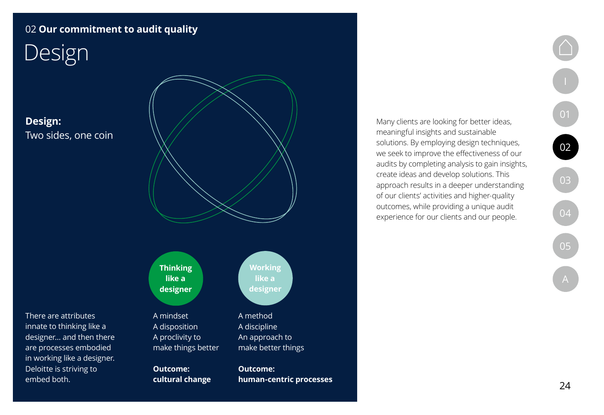# <span id="page-23-0"></span>Design

## **Design:**  Two sides, one coin

There are attributes innate to thinking like a designer… and then there are processes embodied in working like a designer. Deloitte is striving to embed both.



**Thinking like a designer**

A mindset A disposition A proclivity to make things better

**Outcome: cultural change**

**Working like a designer**

A method A discipline An approach to make better things

**Outcome: human-centric processes**

Many clients are looking for better ideas, meaningful insights and sustainable solutions. By employing design techniques, we seek to improve the effectiveness of our audits by completing analysis to gain insights, create ideas and develop solutions. This approach results in a deeper understanding of our clients' activities and higher-quality outcomes, while providing a unique audit experience for our clients and our people.

[A](#page-46-0)

[01](#page-5-0)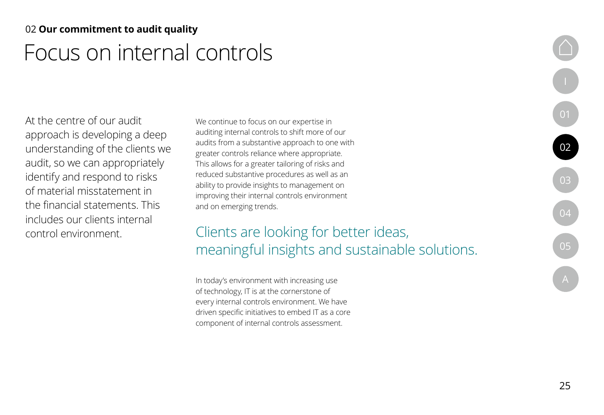## <span id="page-24-0"></span>Focus on internal controls 02 **Our commitment to audit quality**

At the centre of our audit approach is developing a deep understanding of the clients we audit, so we can appropriately identify and respond to risks of material misstatement in the financial statements. This includes our clients internal control environment.

We continue to focus on our expertise in auditing internal controls to shift more of our audits from a substantive approach to one with greater controls reliance where appropriate. This allows for a greater tailoring of risks and reduced substantive procedures as well as an ability to provide insights to management on improving their internal controls environment and on emerging trends.

## Clients are looking for better ideas, meaningful insights and sustainable solutions.

In today's environment with increasing use of technology, IT is at the cornerstone of every internal controls environment. We have driven specific initiatives to embed IT as a core component of internal controls assessment.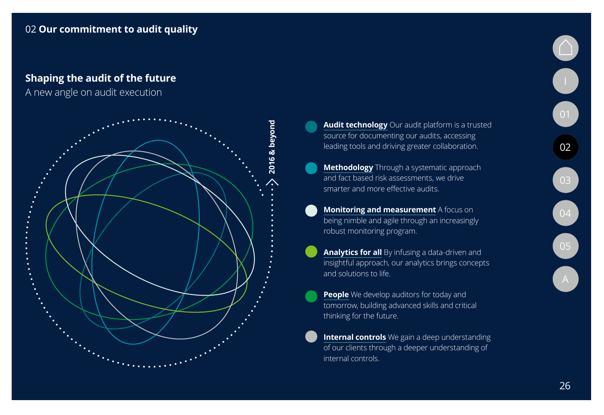### **Shaping the audit of the future**

A new angle on audit execution



- **[Audit technology](#page-21-0)** Our audit platform is a trusted source for documenting our audits, accessing leading tools and driving greater collaboration.
- **[Methodology](#page-21-0)** Through a systematic approach and fact based risk assessments, we drive smarter and more effective audits.
- **[Monitoring and measurement](#page-40-0)** A focus on being nimble and agile through an increasingly robust monitoring program.
- **[Analytics for all](#page-22-0)** By infusing a data-driven and insightful approach, our analytics brings concepts and solutions to life.
- **[People](#page-30-0)** We develop auditors for today and tomorrow, building advanced skills and critical thinking for the future.
- **[Internal controls](#page-24-0)** We gain a deep understanding of our clients through a deeper understanding of internal controls.

O.

[01](#page-5-0)

[02](#page-13-0)

[03](#page-32-0)

[04](#page-39-0)

[05](#page-43-0)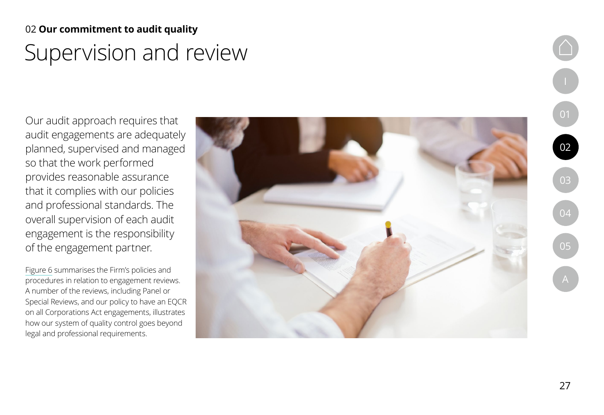## Supervision and review 02 **Our commitment to audit quality**

Our audit approach requires that audit engagements are adequately planned, supervised and managed so that the work performed provides reasonable assurance that it complies with our policies and professional standards. The overall supervision of each audit engagement is the responsibility of the engagement partner.

[Figure 6](#page-27-0) summarises the Firm's policies and procedures in relation to engagement reviews. A number of the reviews, including Panel or Special Reviews, and our policy to have an EQCR on all Corporations Act engagements, illustrates how our system of quality control goes beyond legal and professional requirements.

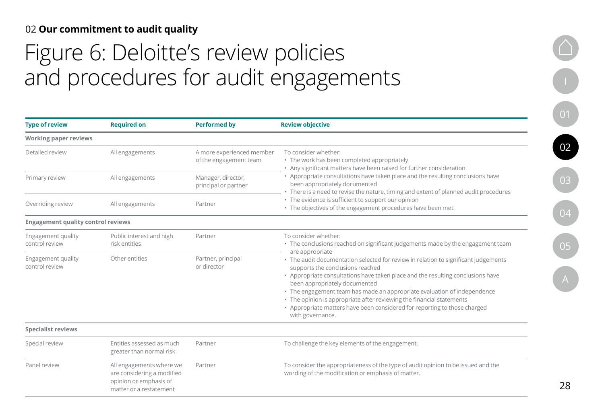# <span id="page-27-0"></span>Figure 6: Deloitte's review policies and procedures for audit engagements

| <b>Type of review</b>                     | <b>Required on</b>                                                                                          | <b>Performed by</b>                                 | <b>Review objective</b>                                                                                                                                                                                                                                                                                                                                                                                                                                                                                                                                                                                                         |  |
|-------------------------------------------|-------------------------------------------------------------------------------------------------------------|-----------------------------------------------------|---------------------------------------------------------------------------------------------------------------------------------------------------------------------------------------------------------------------------------------------------------------------------------------------------------------------------------------------------------------------------------------------------------------------------------------------------------------------------------------------------------------------------------------------------------------------------------------------------------------------------------|--|
| <b>Working paper reviews</b>              |                                                                                                             |                                                     |                                                                                                                                                                                                                                                                                                                                                                                                                                                                                                                                                                                                                                 |  |
| Detailed review                           | All engagements                                                                                             | A more experienced member<br>of the engagement team | To consider whether:<br>• The work has been completed appropriately<br>• Any significant matters have been raised for further consideration                                                                                                                                                                                                                                                                                                                                                                                                                                                                                     |  |
| Primary review                            | All engagements                                                                                             | Manager, director,<br>principal or partner          | • Appropriate consultations have taken place and the resulting conclusions have<br>been appropriately documented<br>There is a need to revise the nature, timing and extent of planned audit procedures                                                                                                                                                                                                                                                                                                                                                                                                                         |  |
| Overriding review                         | All engagements                                                                                             | Partner                                             | • The evidence is sufficient to support our opinion<br>• The objectives of the engagement procedures have been met.                                                                                                                                                                                                                                                                                                                                                                                                                                                                                                             |  |
| <b>Engagement quality control reviews</b> |                                                                                                             |                                                     |                                                                                                                                                                                                                                                                                                                                                                                                                                                                                                                                                                                                                                 |  |
| Engagement quality<br>control review      | Public interest and high<br>risk entities                                                                   | Partner                                             | To consider whether:<br>• The conclusions reached on significant judgements made by the engagement team<br>are appropriate<br>• The audit documentation selected for review in relation to significant judgements<br>supports the conclusions reached<br>• Appropriate consultations have taken place and the resulting conclusions have<br>been appropriately documented<br>• The engagement team has made an appropriate evaluation of independence<br>• The opinion is appropriate after reviewing the financial statements<br>• Appropriate matters have been considered for reporting to those charged<br>with governance. |  |
| Engagement quality<br>control review      | Other entities                                                                                              | Partner, principal<br>or director                   |                                                                                                                                                                                                                                                                                                                                                                                                                                                                                                                                                                                                                                 |  |
| <b>Specialist reviews</b>                 |                                                                                                             |                                                     |                                                                                                                                                                                                                                                                                                                                                                                                                                                                                                                                                                                                                                 |  |
| Special review                            | Entities assessed as much<br>greater than normal risk                                                       | Partner                                             | To challenge the key elements of the engagement.                                                                                                                                                                                                                                                                                                                                                                                                                                                                                                                                                                                |  |
| Panel review                              | All engagements where we<br>are considering a modified<br>opinion or emphasis of<br>matter or a restatement | Partner                                             | To consider the appropriateness of the type of audit opinion to be issued and the<br>wording of the modification or emphasis of matter.                                                                                                                                                                                                                                                                                                                                                                                                                                                                                         |  |

[I](#page-3-0)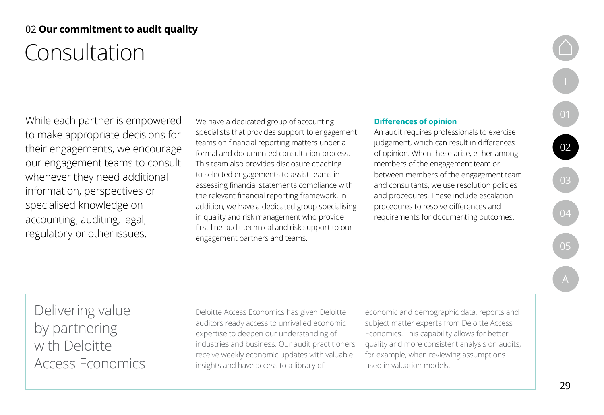## Consultation 02 **Our commitment to audit quality**

While each partner is empowered to make appropriate decisions for their engagements, we encourage our engagement teams to consult whenever they need additional information, perspectives or specialised knowledge on accounting, auditing, legal, regulatory or other issues.

We have a dedicated group of accounting specialists that provides support to engagement teams on financial reporting matters under a formal and documented consultation process. This team also provides disclosure coaching to selected engagements to assist teams in assessing financial statements compliance with the relevant financial reporting framework. In addition, we have a dedicated group specialising in quality and risk management who provide first-line audit technical and risk support to our engagement partners and teams.

### **Differences of opinion**

An audit requires professionals to exercise judgement, which can result in differences of opinion. When these arise, either among members of the engagement team or between members of the engagement team and consultants, we use resolution policies and procedures. These include escalation procedures to resolve differences and requirements for documenting outcomes.

[A](#page-46-0)

[01](#page-5-0)

[02](#page-13-0)

[03](#page-32-0)

Delivering value by partnering with Deloitte Access Economics

Deloitte Access Economics has given Deloitte auditors ready access to unrivalled economic expertise to deepen our understanding of industries and business. Our audit practitioners receive weekly economic updates with valuable insights and have access to a library of

economic and demographic data, reports and subject matter experts from Deloitte Access Economics. This capability allows for better quality and more consistent analysis on audits; for example, when reviewing assumptions used in valuation models.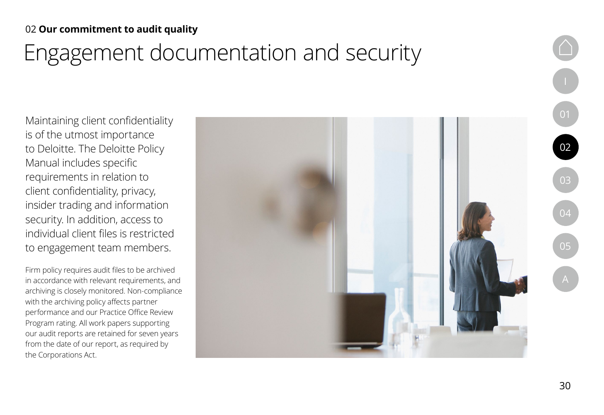# Engagement documentation and security

Maintaining client confidentiality is of the utmost importance to Deloitte. The Deloitte Policy Manual includes specific requirements in relation to client confidentiality, privacy, insider trading and information security. In addition, access to individual client files is restricted to engagement team members.

Firm policy requires audit files to be archived in accordance with relevant requirements, and archiving is closely monitored. Non-compliance with the archiving policy affects partner performance and our Practice Office Review Program rating. All work papers supporting our audit reports are retained for seven years from the date of our report, as required by the Corporations Act.

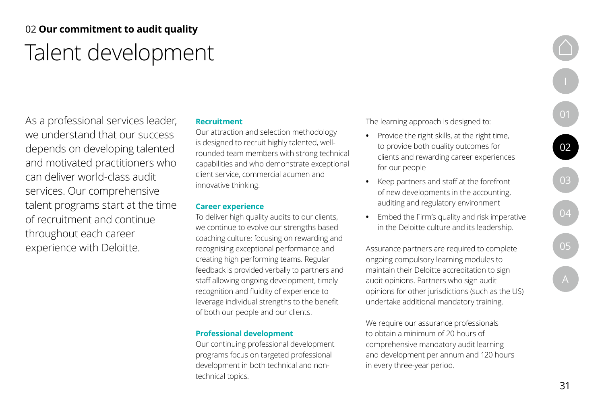## <span id="page-30-0"></span>02 **Our commitment to audit quality** Talent development

As a professional services leader, we understand that our success depends on developing talented and motivated practitioners who can deliver world-class audit services. Our comprehensive talent programs start at the time of recruitment and continue throughout each career experience with Deloitte.

### **Recruitment**

Our attraction and selection methodology is designed to recruit highly talented, wellrounded team members with strong technical capabilities and who demonstrate exceptional client service, commercial acumen and innovative thinking.

### **Career experience**

To deliver high quality audits to our clients, we continue to evolve our strengths based coaching culture; focusing on rewarding and recognising exceptional performance and creating high performing teams. Regular feedback is provided verbally to partners and staff allowing ongoing development, timely recognition and fluidity of experience to leverage individual strengths to the benefit of both our people and our clients.

### **Professional development**

Our continuing professional development programs focus on targeted professional development in both technical and nontechnical topics.

The learning approach is designed to:

- **•** Provide the right skills, at the right time, to provide both quality outcomes for clients and rewarding career experiences for our people
- **•** Keep partners and staff at the forefront of new developments in the accounting, auditing and regulatory environment
- **•** Embed the Firm's quality and risk imperative in the Deloitte culture and its leadership.

Assurance partners are required to complete ongoing compulsory learning modules to maintain their Deloitte accreditation to sign audit opinions. Partners who sign audit opinions for other jurisdictions (such as the US) undertake additional mandatory training.

We require our assurance professionals to obtain a minimum of 20 hours of comprehensive mandatory audit learning and development per annum and 120 hours in every three-year period.

[I](#page-3-0)

[01](#page-5-0)

[02](#page-13-0)

[03](#page-32-0)

[04](#page-39-0)

[05](#page-43-0)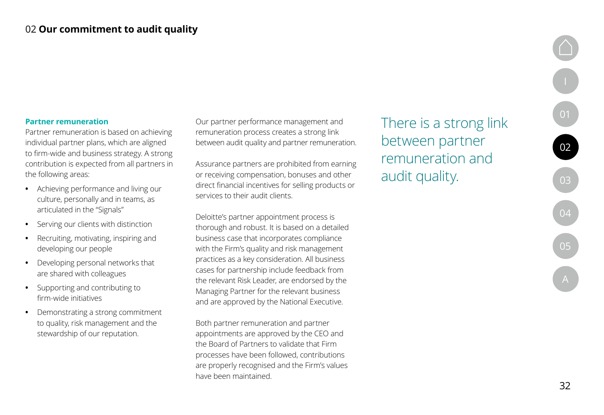### **Partner remuneration**

Partner remuneration is based on achieving individual partner plans, which are aligned to firm-wide and business strategy. A strong contribution is expected from all partners in the following areas:

- **•** Achieving performance and living our culture, personally and in teams, as articulated in the "Signals"
- **•** Serving our clients with distinction
- **•** Recruiting, motivating, inspiring and developing our people
- **•** Developing personal networks that are shared with colleagues
- **•** Supporting and contributing to firm-wide initiatives
- **•** Demonstrating a strong commitment to quality, risk management and the stewardship of our reputation.

Our partner performance management and remuneration process creates a strong link between audit quality and partner remuneration.

Assurance partners are prohibited from earning or receiving compensation, bonuses and other direct financial incentives for selling products or services to their audit clients.

Deloitte's partner appointment process is thorough and robust. It is based on a detailed business case that incorporates compliance with the Firm's quality and risk management practices as a key consideration. All business cases for partnership include feedback from the relevant Risk Leader, are endorsed by the Managing Partner for the relevant business and are approved by the National Executive.

Both partner remuneration and partner appointments are approved by the CEO and the Board of Partners to validate that Firm processes have been followed, contributions are properly recognised and the Firm's values have been maintained.

There is a strong link between partner remuneration and audit quality.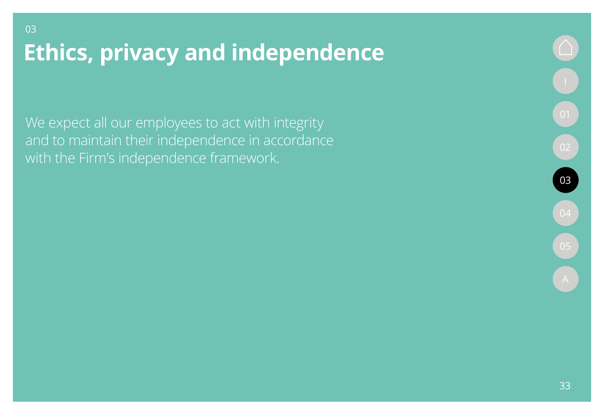**Ethics, privacy and independence** 

We expect all our employees to act with integrity and to maintain their independence in accordance with the Firm's independence framework.

<span id="page-32-0"></span>03

03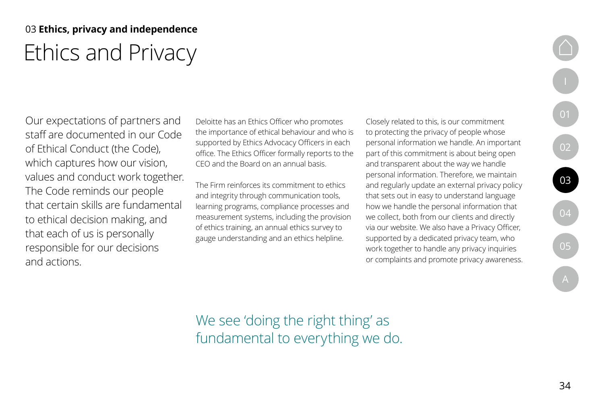## 03 **Ethics, privacy and independence** Ethics and Privacy

Our expectations of partners and staff are documented in our Code of Ethical Conduct (the Code), which captures how our vision, values and conduct work together. The Code reminds our people that certain skills are fundamental to ethical decision making, and that each of us is personally responsible for our decisions and actions.

Deloitte has an Ethics Officer who promotes the importance of ethical behaviour and who is supported by Ethics Advocacy Officers in each office. The Ethics Officer formally reports to the CEO and the Board on an annual basis.

The Firm reinforces its commitment to ethics and integrity through communication tools, learning programs, compliance processes and measurement systems, including the provision of ethics training, an annual ethics survey to gauge understanding and an ethics helpline.

Closely related to this, is our commitment to protecting the privacy of people whose personal information we handle. An important part of this commitment is about being open and transparent about the way we handle personal information. Therefore, we maintain and regularly update an external privacy policy that sets out in easy to understand language how we handle the personal information that we collect, both from our clients and directly via our website. We also have a Privacy Officer, supported by a dedicated privacy team, who work together to handle any privacy inquiries or complaints and promote privacy awareness.

We see 'doing the right thing' as fundamental to everything we do. [I](#page-3-0)

[01](#page-5-0)

[02](#page-13-0)

[03](#page-32-0)

[04](#page-39-0)

[05](#page-43-0)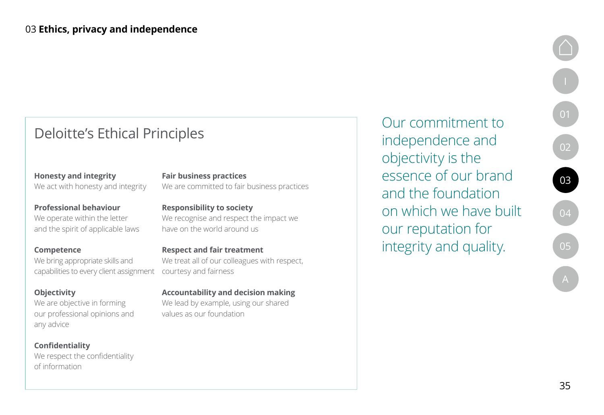## Deloitte's Ethical Principles

**Professional behaviour** We operate within the letter

We act with honesty and integrity

**Honesty and integrity** 

and the spirit of applicable laws

**Competence** We bring appropriate skills and capabilities to every client assignment

### **Objectivity**

We are objective in forming our professional opinions and any advice

**Confidentiality**  We respect the confidentiality of information

**Responsibility to society** We recognise and respect the impact we

We are committed to fair business practices

**Fair business practices**

have on the world around us

**Respect and fair treatment**  We treat all of our colleagues with respect, courtesy and fairness

**Accountability and decision making**  We lead by example, using our shared values as our foundation

Our commitment to independence and objectivity is the essence of our brand and the foundation on which we have built our reputation for integrity and quality.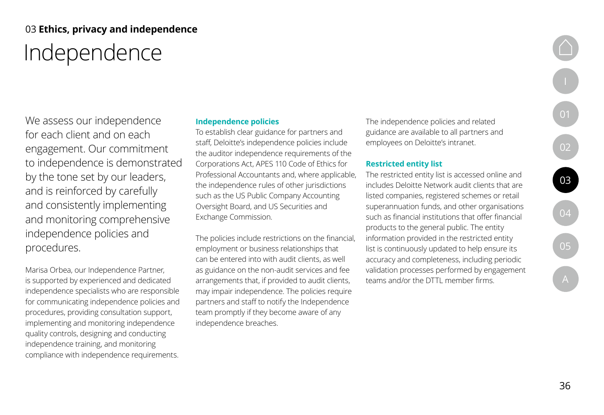## 03 **Ethics, privacy and independence** Independence

We assess our independence for each client and on each engagement. Our commitment to independence is demonstrated by the tone set by our leaders, and is reinforced by carefully and consistently implementing and monitoring comprehensive independence policies and procedures.

Marisa Orbea, our Independence Partner, is supported by experienced and dedicated independence specialists who are responsible for communicating independence policies and procedures, providing consultation support, implementing and monitoring independence quality controls, designing and conducting independence training, and monitoring compliance with independence requirements.

### **Independence policies**

To establish clear guidance for partners and staff, Deloitte's independence policies include the auditor independence requirements of the Corporations Act, APES 110 Code of Ethics for Professional Accountants and, where applicable, the independence rules of other jurisdictions such as the US Public Company Accounting Oversight Board, and US Securities and Exchange Commission.

The policies include restrictions on the financial, employment or business relationships that can be entered into with audit clients, as well as guidance on the non-audit services and fee arrangements that, if provided to audit clients, may impair independence. The policies require partners and staff to notify the Independence team promptly if they become aware of any independence breaches.

The independence policies and related guidance are available to all partners and employees on Deloitte's intranet.

#### **Restricted entity list**

The restricted entity list is accessed online and includes Deloitte Network audit clients that are listed companies, registered schemes or retail superannuation funds, and other organisations such as financial institutions that offer financial products to the general public. The entity information provided in the restricted entity list is continuously updated to help ensure its accuracy and completeness, including periodic validation processes performed by engagement teams and/or the DTTL member firms.

[A](#page-46-0)

[I](#page-3-0)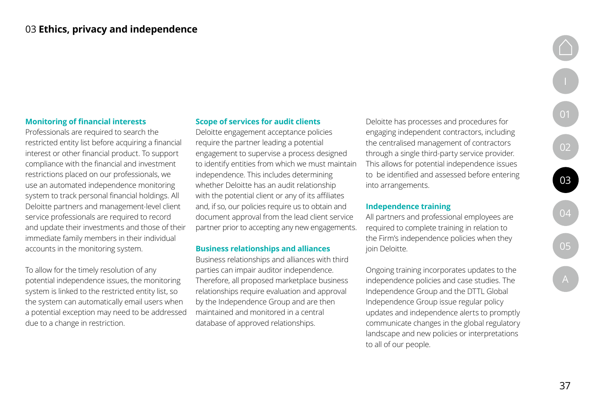### **Monitoring of financial interests**

Professionals are required to search the restricted entity list before acquiring a financial interest or other financial product. To support compliance with the financial and investment restrictions placed on our professionals, we use an automated independence monitoring system to track personal financial holdings. All Deloitte partners and management-level client service professionals are required to record and update their investments and those of their immediate family members in their individual accounts in the monitoring system.

To allow for the timely resolution of any potential independence issues, the monitoring system is linked to the restricted entity list, so the system can automatically email users when a potential exception may need to be addressed due to a change in restriction.

### **Scope of services for audit clients**

Deloitte engagement acceptance policies require the partner leading a potential engagement to supervise a process designed to identify entities from which we must maintain independence. This includes determining whether Deloitte has an audit relationship with the potential client or any of its affiliates and, if so, our policies require us to obtain and document approval from the lead client service partner prior to accepting any new engagements.

#### **Business relationships and alliances**

Business relationships and alliances with third parties can impair auditor independence. Therefore, all proposed marketplace business relationships require evaluation and approval by the Independence Group and are then maintained and monitored in a central database of approved relationships.

Deloitte has processes and procedures for engaging independent contractors, including the centralised management of contractors through a single third-party service provider. This allows for potential independence issues to be identified and assessed before entering into arrangements.

#### **Independence training**

All partners and professional employees are required to complete training in relation to the Firm's independence policies when they join Deloitte.

Ongoing training incorporates updates to the independence policies and case studies. The Independence Group and the DTTL Global Independence Group issue regular policy updates and independence alerts to promptly communicate changes in the global regulatory landscape and new policies or interpretations to all of our people.

[01](#page-5-0)

[02](#page-13-0)

[03](#page-32-0)

[04](#page-39-0)

[05](#page-43-0)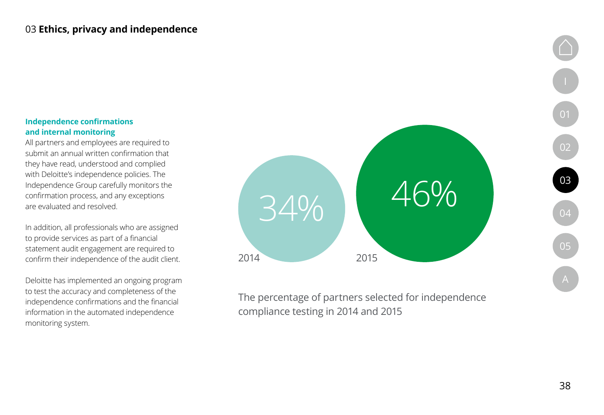### **Independence confirmations and internal monitoring**

All partners and employees are required to submit an annual written confirmation that they have read, understood and complied with Deloitte's independence policies. The Independence Group carefully monitors the confirmation process, and any exceptions are evaluated and resolved.

In addition, all professionals who are assigned to provide services as part of a financial statement audit engagement are required to confirm their independence of the audit client.

Deloitte has implemented an ongoing program to test the accuracy and completeness of the independence confirmations and the financial information in the automated independence monitoring system.



The percentage of partners selected for independence compliance testing in 2014 and 2015

[01](#page-5-0)

[02](#page-13-0)

[03](#page-32-0)

[04](#page-39-0)

[05](#page-43-0)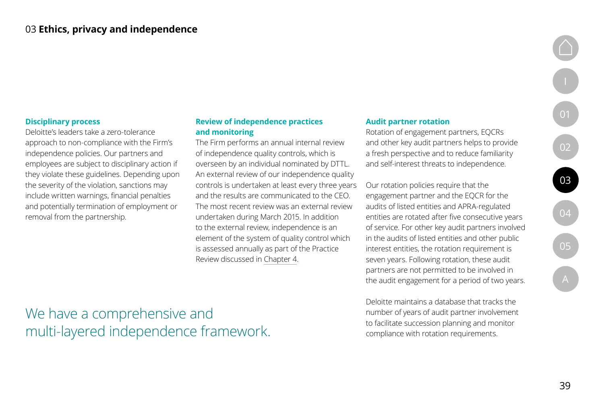### **Disciplinary process**

Deloitte's leaders take a zero-tolerance approach to non-compliance with the Firm's independence policies. Our partners and employees are subject to disciplinary action if they violate these guidelines. Depending upon the severity of the violation, sanctions may include written warnings, financial penalties and potentially termination of employment or removal from the partnership.

### **Review of independence practices and monitoring**

The Firm performs an annual internal review of independence quality controls, which is overseen by an individual nominated by DTTL. An external review of our independence quality controls is undertaken at least every three years and the results are communicated to the CEO. The most recent review was an external review undertaken during March 2015. In addition to the external review, independence is an element of the system of quality control which is assessed annually as part of the Practice Review discussed in [Chapter 4](#page-39-0).

#### **Audit partner rotation**

Rotation of engagement partners, EQCRs and other key audit partners helps to provide a fresh perspective and to reduce familiarity and self-interest threats to independence.

Our rotation policies require that the engagement partner and the EQCR for the audits of listed entities and APRA-regulated entities are rotated after five consecutive years of service. For other key audit partners involved in the audits of listed entities and other public interest entities, the rotation requirement is seven years. Following rotation, these audit partners are not permitted to be involved in the audit engagement for a period of two years.

Deloitte maintains a database that tracks the number of years of audit partner involvement to facilitate succession planning and monitor compliance with rotation requirements.

[A](#page-46-0)

[I](#page-3-0)

[01](#page-5-0)

[02](#page-13-0)

We have a comprehensive and multi-layered independence framework.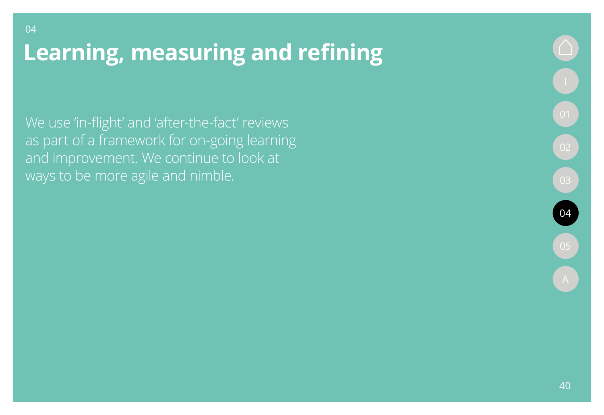We use 'in-flight' and 'after-the-fact' reviews as part of a framework for on-going learning and improvement. We continue to look at ways to be more agile and nimble.

<span id="page-39-0"></span>04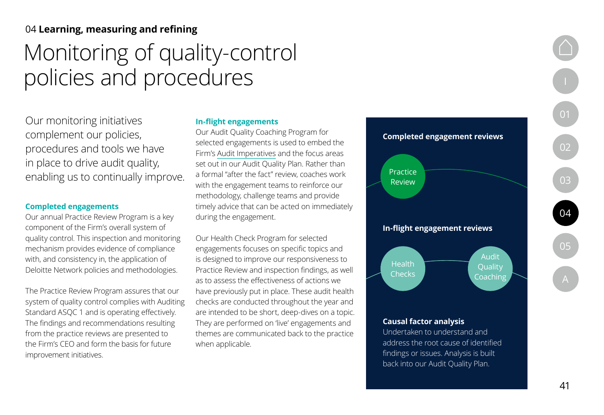# <span id="page-40-0"></span>Monitoring of quality-control policies and procedures

Our monitoring initiatives complement our policies, procedures and tools we have in place to drive audit quality, enabling us to continually improve.

#### **Completed engagements**

Our annual Practice Review Program is a key component of the Firm's overall system of quality control. This inspection and monitoring mechanism provides evidence of compliance with, and consistency in, the application of Deloitte Network policies and methodologies.

The Practice Review Program assures that our system of quality control complies with Auditing Standard ASQC 1 and is operating effectively. The findings and recommendations resulting from the practice reviews are presented to the Firm's CEO and form the basis for future improvement initiatives.

#### **In-flight engagements**

Our Audit Quality Coaching Program for selected engagements is used to embed the Firm's [Audit Imperatives](#page-19-0) and the focus areas set out in our Audit Quality Plan. Rather than a formal "after the fact" review, coaches work with the engagement teams to reinforce our methodology, challenge teams and provide timely advice that can be acted on immediately during the engagement.

Our Health Check Program for selected engagements focuses on specific topics and is designed to improve our responsiveness to Practice Review and inspection findings, as well as to assess the effectiveness of actions we have previously put in place. These audit health checks are conducted throughout the year and are intended to be short, deep-dives on a topic. They are performed on 'live' engagements and themes are communicated back to the practice when applicable.



#### **Causal factor analysis**

Undertaken to understand and address the root cause of identified findings or issues. Analysis is built back into our Audit Quality Plan.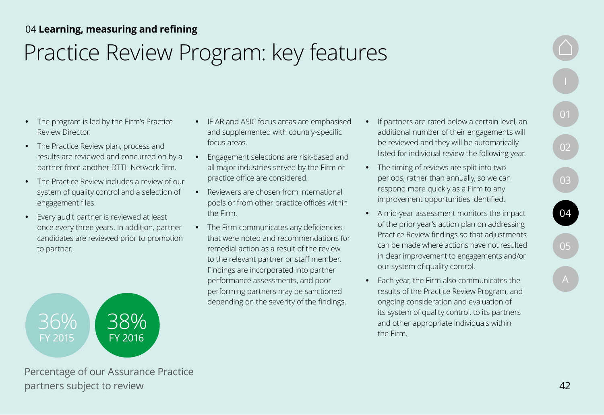# <span id="page-41-0"></span>Practice Review Program: key features

- **•** The program is led by the Firm's Practice Review Director.
- **•** The Practice Review plan, process and results are reviewed and concurred on by a partner from another DTTL Network firm.
- **•** The Practice Review includes a review of our system of quality control and a selection of engagement files.
- **•** Every audit partner is reviewed at least once every three years. In addition, partner candidates are reviewed prior to promotion to partner.



Percentage of our Assurance Practice partners subject to review

- **•** IFIAR and ASIC focus areas are emphasised and supplemented with country-specific focus areas.
- **•** Engagement selections are risk-based and all major industries served by the Firm or practice office are considered.
- **•** Reviewers are chosen from international pools or from other practice offices within the Firm.
- **•** The Firm communicates any deficiencies that were noted and recommendations for remedial action as a result of the review to the relevant partner or staff member. Findings are incorporated into partner performance assessments, and poor performing partners may be sanctioned depending on the severity of the findings.
- **•** If partners are rated below a certain level, an additional number of their engagements will be reviewed and they will be automatically listed for individual review the following year.
- **•** The timing of reviews are split into two periods, rather than annually, so we can respond more quickly as a Firm to any improvement opportunities identified.
- **•** A mid-year assessment monitors the impact of the prior year's action plan on addressing Practice Review findings so that adjustments can be made where actions have not resulted in clear improvement to engagements and/or our system of quality control.
- **•** Each year, the Firm also communicates the results of the Practice Review Program, and ongoing consideration and evaluation of its system of quality control, to its partners and other appropriate individuals within the Firm.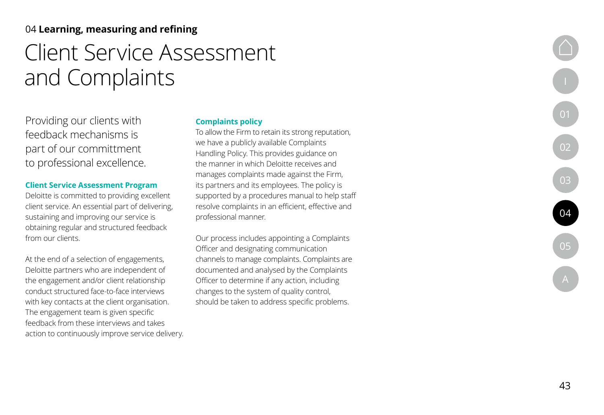# Client Service Assessment and Complaints

Providing our clients with feedback mechanisms is part of our committment to professional excellence.

### **Client Service Assessment Program**

Deloitte is committed to providing excellent client service. An essential part of delivering, sustaining and improving our service is obtaining regular and structured feedback from our clients.

At the end of a selection of engagements, Deloitte partners who are independent of the engagement and/or client relationship conduct structured face-to-face interviews with key contacts at the client organisation. The engagement team is given specific feedback from these interviews and takes action to continuously improve service delivery.

### **Complaints policy**

To allow the Firm to retain its strong reputation, we have a publicly available Complaints Handling Policy. This provides guidance on the manner in which Deloitte receives and manages complaints made against the Firm, its partners and its employees. The policy is supported by a procedures manual to help staff resolve complaints in an efficient, effective and professional manner.

Our process includes appointing a Complaints Officer and designating communication channels to manage complaints. Complaints are documented and analysed by the Complaints Officer to determine if any action, including changes to the system of quality control, should be taken to address specific problems.

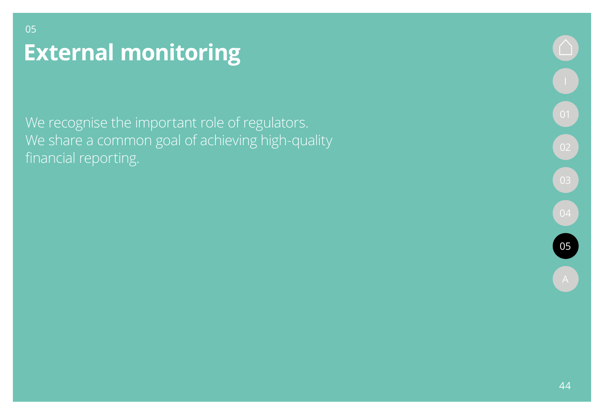# **External monitoring**

<span id="page-43-0"></span>05

We recognise the important role of regulators. We share a common goal of achieving high-quality financial reporting.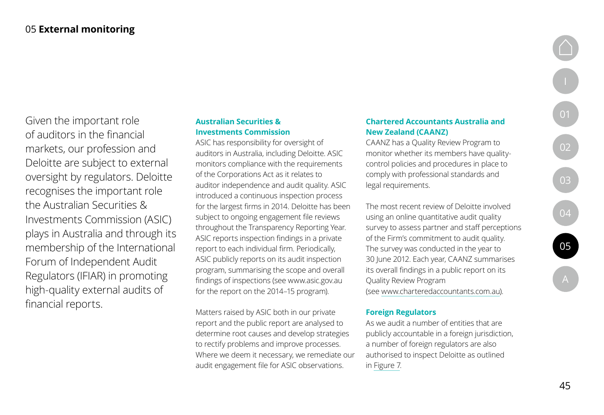<span id="page-44-0"></span>Given the important role of auditors in the financial markets, our profession and Deloitte are subject to external oversight by regulators. Deloitte recognises the important role the Australian Securities & Investments Commission (ASIC) plays in Australia and through its membership of the International Forum of Independent Audit Regulators (IFIAR) in promoting high-quality external audits of financial reports.

### **Australian Securities & Investments Commission**

ASIC has responsibility for oversight of auditors in Australia, including Deloitte. ASIC monitors compliance with the requirements of the Corporations Act as it relates to auditor independence and audit quality. ASIC introduced a continuous inspection process for the largest firms in 2014. Deloitte has been subject to ongoing engagement file reviews throughout the Transparency Reporting Year. ASIC reports inspection findings in a private report to each individual firm. Periodically, ASIC publicly reports on its audit inspection program, summarising the scope and overall findings of inspections (see [www.asic.gov.au](http://www.asic.gov.au) for the report on the 2014–15 program).

Matters raised by ASIC both in our private report and the public report are analysed to determine root causes and develop strategies to rectify problems and improve processes. Where we deem it necessary, we remediate our audit engagement file for ASIC observations.

### **Chartered Accountants Australia and New Zealand (CAANZ)**

CAANZ has a Quality Review Program to monitor whether its members have qualitycontrol policies and procedures in place to comply with professional standards and legal requirements.

The most recent review of Deloitte involved using an online quantitative audit quality survey to assess partner and staff perceptions of the Firm's commitment to audit quality. The survey was conducted in the year to 30 June 2012. Each year, CAANZ summarises its overall findings in a public report on its Quality Review Program (see [www.charteredaccountants.com.au](http://www.charteredaccountants.com.au)).

### **Foreign Regulators**

As we audit a number of entities that are publicly accountable in a foreign jurisdiction, a number of foreign regulators are also authorised to inspect Deloitte as outlined in [Figure 7](#page-45-0).

[A](#page-46-0)

[I](#page-3-0)

[01](#page-5-0)

 $\begin{bmatrix} 02 \end{bmatrix}$  $\begin{bmatrix} 02 \end{bmatrix}$  $\begin{bmatrix} 02 \end{bmatrix}$ 

[03](#page-32-0)

[04](#page-39-0)

[05](#page-43-0)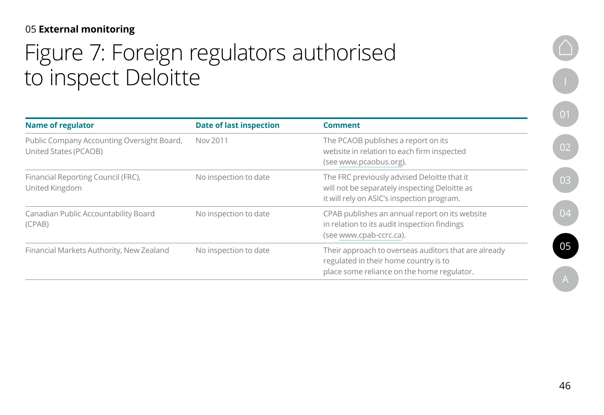## <span id="page-45-0"></span>05 **External monitoring**

# Figure 7: Foreign regulators authorised to inspect Deloitte

| <b>Name of regulator</b>                                                   | <b>Date of last inspection</b> | <b>Comment</b>                                                                                                                              |
|----------------------------------------------------------------------------|--------------------------------|---------------------------------------------------------------------------------------------------------------------------------------------|
| Public Company Accounting Oversight Board,<br><b>United States (PCAOB)</b> | Nov 2011                       | The PCAOB publishes a report on its<br>website in relation to each firm inspected<br>(see www.pcaobus.org).                                 |
| Financial Reporting Council (FRC),<br>United Kingdom                       | No inspection to date          | The FRC previously advised Deloitte that it<br>will not be separately inspecting Deloitte as<br>it will rely on ASIC's inspection program.  |
| Canadian Public Accountability Board<br>(CPAB)                             | No inspection to date          | CPAB publishes an annual report on its website<br>in relation to its audit inspection findings<br>(see www.cpab-ccrc.ca).                   |
| Financial Markets Authority, New Zealand                                   | No inspection to date          | Their approach to overseas auditors that are already<br>regulated in their home country is to<br>place some reliance on the home regulator. |

[I](#page-3-0)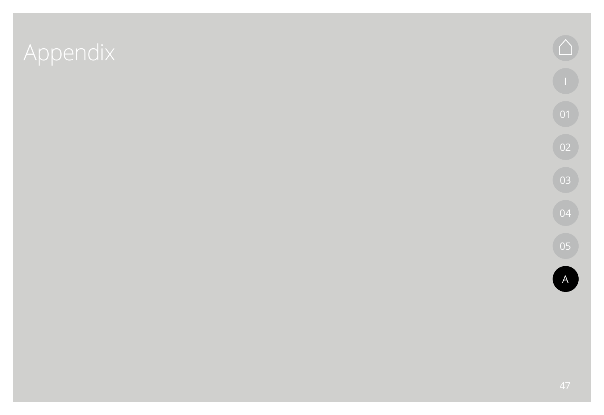# <span id="page-46-0"></span>Appendix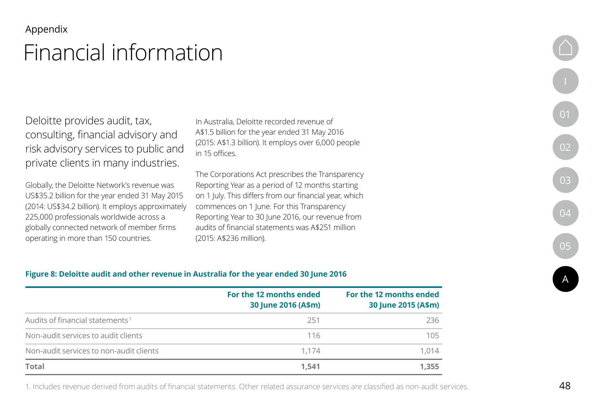### <span id="page-47-0"></span>Appendix

# Financial information

Deloitte provides audit, tax, consulting, financial advisory and risk advisory services to public and private clients in many industries.

Globally, the Deloitte Network's revenue was US\$35.2 billion for the year ended 31 May 2015 (2014: US\$34.2 billion). It employs approximately 225,000 professionals worldwide across a globally connected network of member firms operating in more than 150 countries.

In Australia, Deloitte recorded revenue of A\$1.5 billion for the year ended 31 May 2016 (2015: A\$1.3 billion). It employs over 6,000 people in 15 offices.

The Corporations Act prescribes the Transparency Reporting Year as a period of 12 months starting on 1 July. This differs from our financial year, which commences on 1 June. For this Transparency Reporting Year to 30 June 2016, our revenue from audits of financial statements was A\$251 million (2015: A\$236 million).



|                                             | For the 12 months ended<br>30 June 2016 (A\$m) | For the 12 months ended<br>30 June 2015 (A\$m) |
|---------------------------------------------|------------------------------------------------|------------------------------------------------|
| Audits of financial statements <sup>1</sup> | 251                                            | 236                                            |
| Non-audit services to audit clients         | 116                                            | 105                                            |
| Non-audit services to non-audit clients     | 1.174                                          | 1,014                                          |
| <b>Total</b>                                | 1.541                                          | 1,355                                          |

1. Includes revenue derived from audits of financial statements. Other related assurance services are classified as non-audit services.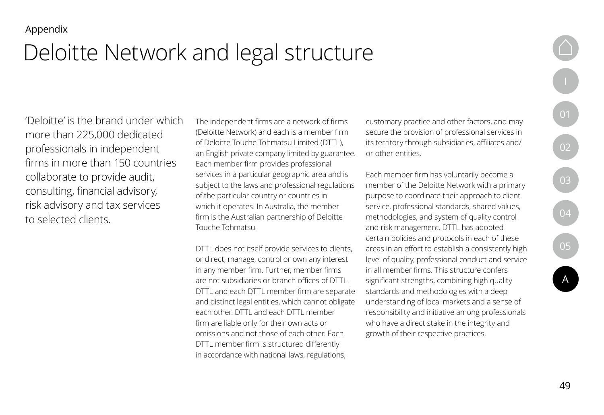# <span id="page-48-0"></span>Deloitte Network and legal structure

'Deloitte' is the brand under which more than 225,000 dedicated professionals in independent firms in more than 150 countries collaborate to provide audit, consulting, financial advisory, risk advisory and tax services to selected clients.

The independent firms are a network of firms (Deloitte Network) and each is a member firm of Deloitte Touche Tohmatsu Limited (DTTL), an English private company limited by guarantee. Each member firm provides professional services in a particular geographic area and is subject to the laws and professional regulations of the particular country or countries in which it operates. In Australia, the member firm is the Australian partnership of Deloitte Touche Tohmatsu.

DTTL does not itself provide services to clients, or direct, manage, control or own any interest in any member firm. Further, member firms are not subsidiaries or branch offices of DTTL. DTTL and each DTTL member firm are separate and distinct legal entities, which cannot obligate each other. DTTL and each DTTL member firm are liable only for their own acts or omissions and not those of each other. Each DTTL member firm is structured differently in accordance with national laws, regulations,

customary practice and other factors, and may secure the provision of professional services in its territory through subsidiaries, affiliates and/ or other entities.

Each member firm has voluntarily become a member of the Deloitte Network with a primary purpose to coordinate their approach to client service, professional standards, shared values, methodologies, and system of quality control and risk management. DTTL has adopted certain policies and protocols in each of these areas in an effort to establish a consistently high level of quality, professional conduct and service in all member firms. This structure confers significant strengths, combining high quality standards and methodologies with a deep understanding of local markets and a sense of responsibility and initiative among professionals who have a direct stake in the integrity and growth of their respective practices.

[I](#page-3-0)

[01](#page-5-0)

[02](#page-13-0)

[03](#page-32-0)

[04](#page-39-0)

 $\boxed{05}$  $\boxed{05}$  $\boxed{05}$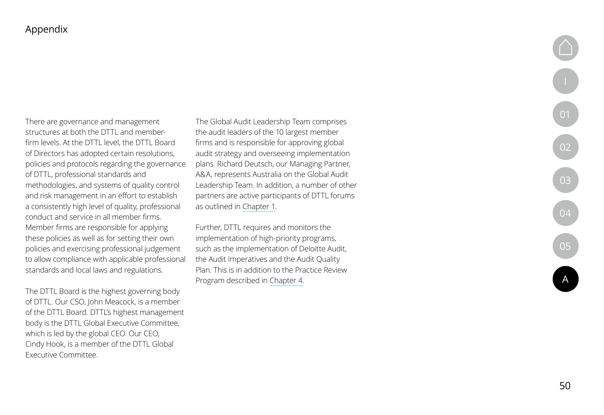[01](#page-5-0)

[02](#page-13-0)

[03](#page-32-0)

[04](#page-39-0)

[05](#page-43-0)

[A](#page-46-0)

### Appendix

There are governance and management structures at both the DTTL and memberfirm levels. At the DTTL level, the DTTL Board of Directors has adopted certain resolutions, policies and protocols regarding the governance of DTTL, professional standards and methodologies, and systems of quality control and risk management in an effort to establish a consistently high level of quality, professional conduct and service in all member firms. Member firms are responsible for applying these policies as well as for setting their own policies and exercising professional judgement to allow compliance with applicable professional standards and local laws and regulations.

The DTTL Board is the highest governing body of DTTL. Our CSO, John Meacock, is a member of the DTTL Board. DTTL's highest management body is the DTTL Global Executive Committee, which is led by the global CEO. Our CEO, Cindy Hook, is a member of the DTTL Global Executive Committee.

The Global Audit Leadership Team comprises the audit leaders of the 10 largest member firms and is responsible for approving global audit strategy and overseeing implementation plans. Richard Deutsch, our Managing Partner, A&A, represents Australia on the Global Audit Leadership Team. In addition, a number of other partners are active participants of DTTL forums as outlined in [Chapter 1](#page-5-0).

Further, DTTL requires and monitors the implementation of high-priority programs, such as the implementation of Deloitte Audit, the Audit Imperatives and the Audit Quality Plan. This is in addition to the Practice Review Program described in [Chapter 4](#page-39-0).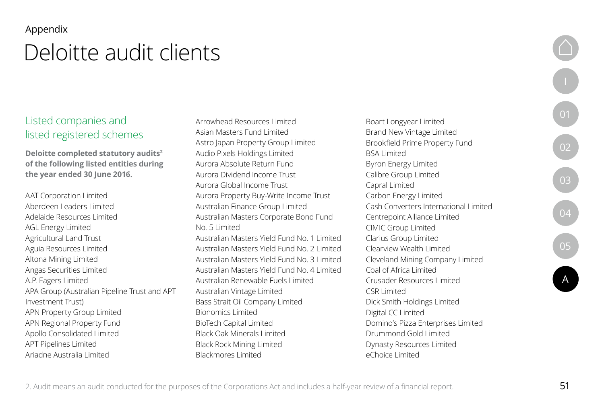### <span id="page-50-0"></span>Appendix

# Deloitte audit clients

## Listed companies and listed registered schemes

**Deloitte completed statutory audits2 of the following listed entities during the year ended 30 June 2016.**

AAT Corporation Limited Aberdeen Leaders Limited Adelaide Resources Limited AGL Energy Limited Agricultural Land Trust Aguia Resources Limited Altona Mining Limited Angas Securities Limited A.P. Eagers Limited APA Group (Australian Pipeline Trust and APT Investment Trust) APN Property Group Limited APN Regional Property Fund Apollo Consolidated Limited APT Pipelines Limited Ariadne Australia Limited

Arrowhead Resources Limited Asian Masters Fund Limited Astro Japan Property Group Limited Audio Pixels Holdings Limited Aurora Absolute Return Fund Aurora Dividend Income Trust Aurora Global Income Trust Aurora Property Buy-Write Income Trust Australian Finance Group Limited Australian Masters Corporate Bond Fund No. 5 Limited Australian Masters Yield Fund No. 1 Limited Australian Masters Yield Fund No. 2 Limited Australian Masters Yield Fund No. 3 Limited Australian Masters Yield Fund No. 4 Limited Australian Renewable Fuels Limited Australian Vintage Limited Bass Strait Oil Company Limited Bionomics Limited BioTech Capital Limited Black Oak Minerals Limited Black Rock Mining Limited Blackmores Limited

Boart Longyear Limited Brand New Vintage Limited Brookfield Prime Property Fund BSA Limited Byron Energy Limited Calibre Group Limited Capral Limited Carbon Energy Limited Cash Converters International Limited Centrepoint Alliance Limited CIMIC Group Limited Clarius Group Limited Clearview Wealth Limited Cleveland Mining Company Limited Coal of Africa Limited Crusader Resources Limited CSR Limited Dick Smith Holdings Limited Digital CC Limited Domino's Pizza Enterprises Limited Drummond Gold Limited Dynasty Resources Limited eChoice Limited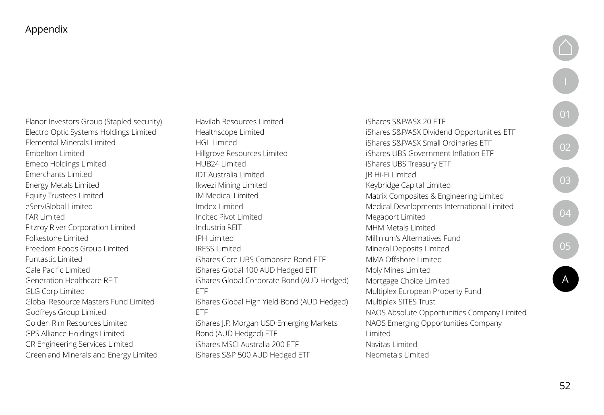Appendix

Elanor Investors Group (Stapled security) Electro Optic Systems Holdings Limited Elemental Minerals Limited Embelton Limited Emeco Holdings Limited Emerchants Limited Energy Metals Limited Equity Trustees Limited eServGlobal Limited FAR Limited Fitzroy River Corporation Limited Folkestone Limited Freedom Foods Group Limited Funtastic Limited Gale Pacific Limited Generation Healthcare REIT GLG Corp Limited Global Resource Masters Fund Limited Godfreys Group Limited Golden Rim Resources Limited GPS Alliance Holdings Limited GR Engineering Services Limited Greenland Minerals and Energy Limited

Havilah Resources Limited Healthscope Limited HGL Limited Hillgrove Resources Limited HUB24 Limited IDT Australia Limited Ikwezi Mining Limited IM Medical Limited Imdex Limited Incitec Pivot Limited Industria REIT IPH Limited IRESS Limited iShares Core UBS Composite Bond ETF iShares Global 100 AUD Hedged ETF iShares Global Corporate Bond (AUD Hedged) ETF iShares Global High Yield Bond (AUD Hedged) ETF iShares J.P. Morgan USD Emerging Markets Bond (AUD Hedged) ETF iShares MSCI Australia 200 ETF

iShares S&P 500 AUD Hedged ETF

iShares S&P/ASX 20 ETF iShares S&P/ASX Dividend Opportunities ETF iShares S&P/ASX Small Ordinaries ETF iShares UBS Government Inflation ETF iShares UBS Treasury ETF JB Hi-Fi Limited Keybridge Capital Limited Matrix Composites & Engineering Limited Medical Developments International Limited Megaport Limited MHM Metals Limited Millinium's Alternatives Fund Mineral Deposits Limited MMA Offshore Limited Moly Mines Limited Mortgage Choice Limited Multiplex European Property Fund Multiplex SITES Trust NAOS Absolute Opportunities Company Limited NAOS Emerging Opportunities Company Limited Navitas Limited Neometals Limited

 $\boxed{02}$  $\boxed{02}$  $\boxed{02}$ 

[03](#page-32-0)

[04](#page-39-0)

[05](#page-43-0)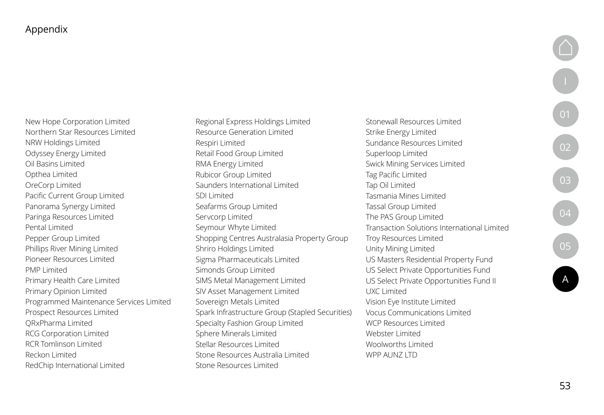New Hope Corporation Limited Northern Star Resources Limited NRW Holdings Limited Odyssey Energy Limited Oil Basins Limited Opthea Limited OreCorp Limited Pacific Current Group Limited Panorama Synergy Limited Paringa Resources Limited Pental Limited Pepper Group Limited Phillips River Mining Limited Pioneer Resources Limited PMP Limited Primary Health Care Limited Primary Opinion Limited Programmed Maintenance Services Limited Prospect Resources Limited QRxPharma Limited RCG Corporation Limited RCR Tomlinson Limited Reckon Limited RedChip International Limited

Regional Express Holdings Limited Resource Generation Limited Respiri Limited Retail Food Group Limited RMA Energy Limited Rubicor Group Limited Saunders International Limited SDI Limited Seafarms Group Limited Servcorp Limited Seymour Whyte Limited Shopping Centres Australasia Property Group Shriro Holdings Limited Sigma Pharmaceuticals Limited Simonds Group Limited SIMS Metal Management Limited SIV Asset Management Limited Sovereign Metals Limited Spark Infrastructure Group (Stapled Securities) Specialty Fashion Group Limited Sphere Minerals Limited Stellar Resources Limited Stone Resources Australia Limited Stone Resources Limited

Stonewall Resources Limited Strike Energy Limited Sundance Resources Limited Superloop Limited Swick Mining Services Limited Tag Pacific Limited Tap Oil Limited Tasmania Mines Limited Tassal Group Limited The PAS Group Limited Transaction Solutions International Limited Troy Resources Limited Unity Mining Limited US Masters Residential Property Fund US Select Private Opportunities Fund US Select Private Opportunities Fund II UXC Limited Vision Eye Institute Limited Vocus Communications Limited WCP Resources Limited Webster Limited Woolworths Limited WPP AUN7 LTD

[05](#page-43-0)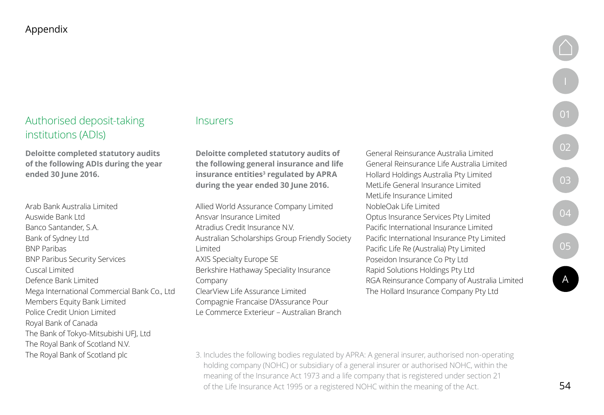## Authorised deposit-taking institutions (ADIs)

**Deloitte completed statutory audits of the following ADIs during the year ended 30 June 2016.**

Arab Bank Australia Limited Auswide Bank Ltd Banco Santander, S.A. Bank of Sydney Ltd BNP Paribas BNP Paribus Security Services Cuscal Limited Defence Bank Limited Mega International Commercial Bank Co., Ltd Members Equity Bank Limited Police Credit Union Limited Royal Bank of Canada The Bank of Tokyo-Mitsubishi UFJ, Ltd The Royal Bank of Scotland N.V. The Royal Bank of Scotland plc

### **Insurers**

**Deloitte completed statutory audits of the following general insurance and life**  insurance entities<sup>3</sup> regulated by APRA **during the year ended 30 June 2016.**

Allied World Assurance Company Limited Ansvar Insurance Limited Atradius Credit Insurance N.V. Australian Scholarships Group Friendly Society Limited AXIS Specialty Europe SE Berkshire Hathaway Speciality Insurance Company ClearView Life Assurance Limited Compagnie Francaise D'Assurance Pour Le Commerce Exterieur – Australian Branch

General Reinsurance Australia Limited General Reinsurance Life Australia Limited Hollard Holdings Australia Pty Limited MetLife General Insurance Limited MetLife Insurance Limited NobleOak Life Limited Optus Insurance Services Pty Limited Pacific International Insurance Limited Pacific International Insurance Pty Limited Pacific Life Re (Australia) Pty Limited Poseidon Insurance Co Pty Ltd Rapid Solutions Holdings Pty Ltd RGA Reinsurance Company of Australia Limited The Hollard Insurance Company Pty Ltd

[05](#page-43-0)

[A](#page-46-0)

3. Includes the following bodies regulated by APRA: A general insurer, authorised non-operating holding company (NOHC) or subsidiary of a general insurer or authorised NOHC, within the meaning of the Insurance Act 1973 and a life company that is registered under section 21 of the Life Insurance Act 1995 or a registered NOHC within the meaning of the Act.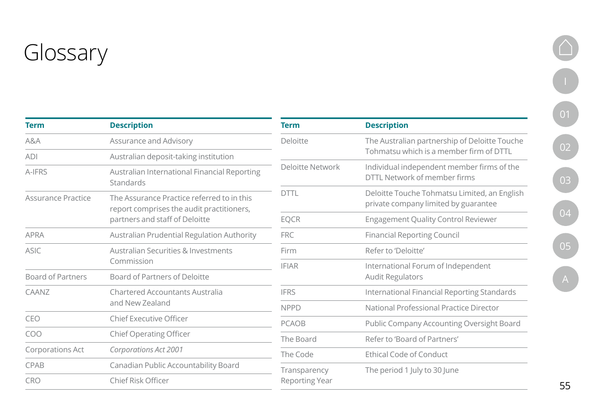<span id="page-54-0"></span>

| <b>Term</b>               | <b>Description</b>                                                                      | <b>Term</b>             | <b>Description</b>                                                                   |  |
|---------------------------|-----------------------------------------------------------------------------------------|-------------------------|--------------------------------------------------------------------------------------|--|
| A&A                       | <b>Assurance and Advisory</b>                                                           | <b>Deloitte</b>         | The Australian partnership of Deloitte Touche                                        |  |
| <b>ADI</b>                | Australian deposit-taking institution                                                   |                         | Tohmatsu which is a member firm of DTTL                                              |  |
| A-IFRS                    | Australian International Financial Reporting<br>Standards                               | <b>Deloitte Network</b> | Individual independent member firms of the<br>DTTL Network of member firms           |  |
| <b>Assurance Practice</b> | The Assurance Practice referred to in this<br>report comprises the audit practitioners, | <b>DTTL</b>             | Deloitte Touche Tohmatsu Limited, an English<br>private company limited by guarantee |  |
|                           | partners and staff of Deloitte                                                          | <b>EQCR</b>             | <b>Engagement Quality Control Reviewer</b>                                           |  |
| <b>APRA</b>               | Australian Prudential Regulation Authority                                              | <b>FRC</b>              | <b>Financial Reporting Council</b>                                                   |  |
| <b>ASIC</b>               | <b>Australian Securities &amp; Investments</b>                                          | Firm                    | Refer to 'Deloitte'                                                                  |  |
|                           | Commission                                                                              |                         | International Forum of Independent                                                   |  |
| <b>Board of Partners</b>  | <b>Board of Partners of Deloitte</b>                                                    |                         | <b>Audit Regulators</b>                                                              |  |
| CAANZ                     | <b>Chartered Accountants Australia</b>                                                  | <b>IFRS</b>             | International Financial Reporting Standards                                          |  |
| and New Zealand           |                                                                                         | <b>NPPD</b>             | National Professional Practice Director                                              |  |
| CEO                       | <b>Chief Executive Officer</b>                                                          | <b>PCAOB</b>            | <b>Public Company Accounting Oversight Board</b>                                     |  |
| COO                       | <b>Chief Operating Officer</b>                                                          | The Board               | Refer to 'Board of Partners'                                                         |  |
| <b>Corporations Act</b>   | <b>Corporations Act 2001</b>                                                            | The Code                | <b>Ethical Code of Conduct</b>                                                       |  |
| <b>CPAB</b>               | Canadian Public Accountability Board                                                    | Transparency            | The period 1 July to 30 June                                                         |  |
| <b>CRO</b>                | <b>Chief Risk Officer</b>                                                               | <b>Reporting Year</b>   |                                                                                      |  |

# [01](#page-5-0) [02](#page-13-0) [03](#page-32-0)  $\left( 04 \right)$  $\left( 04 \right)$  $\left( 04 \right)$

O

 $\begin{picture}(20,20) \put(0,0){\line(1,0){155}} \put(15,0){\line(1,0){155}} \put(15,0){\line(1,0){155}} \put(15,0){\line(1,0){155}} \put(15,0){\line(1,0){155}} \put(15,0){\line(1,0){155}} \put(15,0){\line(1,0){155}} \put(15,0){\line(1,0){155}} \put(15,0){\line(1,0){155}} \put(15,0){\line(1,0){155}} \put(15,0){\line(1,0){155}} \$ 

[05](#page-43-0)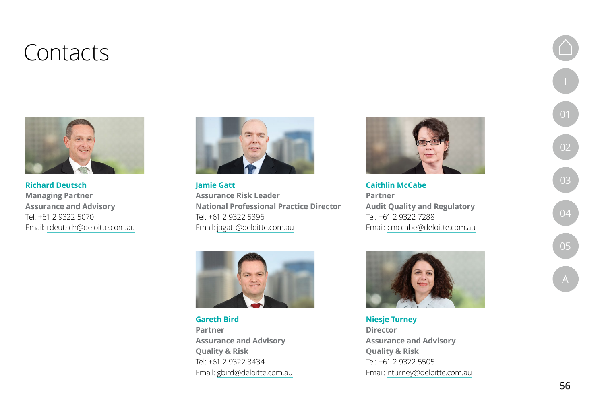## <span id="page-55-0"></span>Contacts



**Richard Deutsch Managing Partner Assurance and Advisory** Tel: +61 2 9322 5070 Email: [rdeutsch@deloitte.com.au](mailto:rdeutsch%40deloitte.com.au?subject=)



**Jamie Gatt Assurance Risk Leader National Professional Practice Director** Tel: +61 2 9322 5396 Email: [jagatt@deloitte.com.au](mailto:jagatt%40deloitte.com.au?subject=)



**Caithlin McCabe Partner Audit Quality and Regulatory** Tel: +61 2 9322 7288 Email: [cmccabe@deloitte.com.au](mailto:cmccabe%40deloitte.com.au?subject=)



**Gareth Bird Partner Assurance and Advisory Quality & Risk**  Tel: +61 2 9322 3434 Email: [gbird@deloitte.com.au](mailto:gbird%40deloitte.com.au?subject=)



**Niesje Turney Director Assurance and Advisory Quality & Risk** Tel: +61 2 9322 5505 Email: [nturney@deloitte.com.au](mailto:nturney%40deloitte.com.au?subject=)